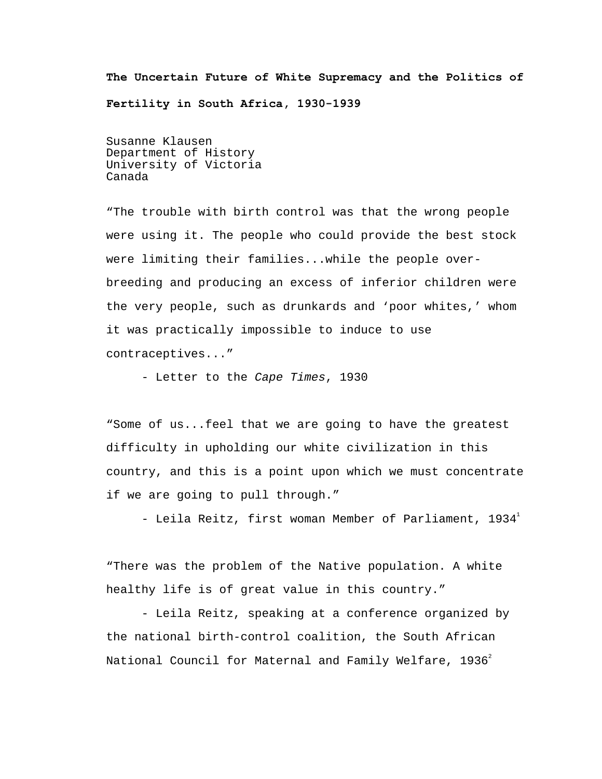**The Uncertain Future of White Supremacy and the Politics of Fertility in South Africa, 1930-1939**

Susanne Klausen Department of History University of Victoria Canada

"The trouble with birth control was that the wrong people were using it. The people who could provide the best stock were limiting their families...while the people overbreeding and producing an excess of inferior children were the very people, such as drunkards and 'poor whites,' whom it was practically impossible to induce to use contraceptives..."

- Letter to the Cape Times, 1930

"Some of us...feel that we are going to have the greatest difficulty in upholding our white civilization in this country, and this is a point upon which we must concentrate if we are going to pull through."

- Leila Reitz, first woman Member of Parliament, [1](#page-40-0)934 $^1$ 

"There was the problem of the Native population. A white healthy life is of great value in this country."

 - Leila Reitz, speaking at a conference organized by the national birth-control coalition, the South African National Council for Maternal and Family Welfare,  $1936^2$  $1936^2$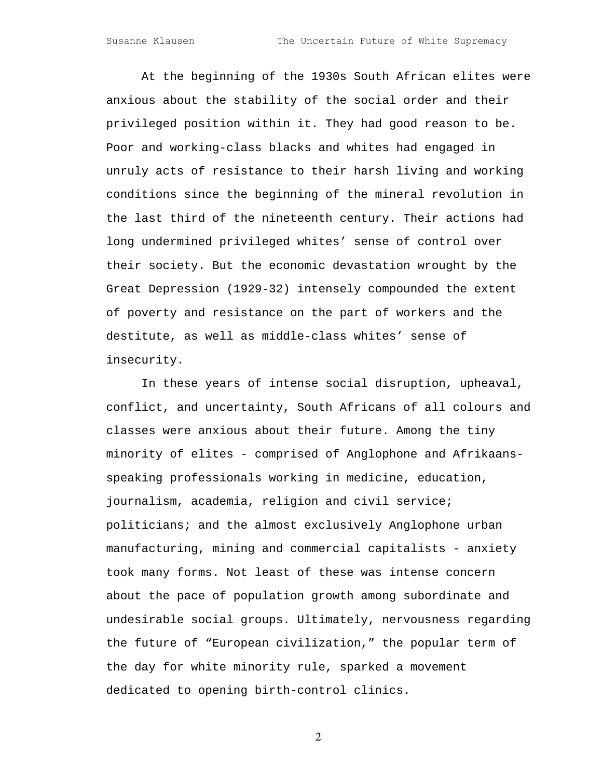At the beginning of the 1930s South African elites were anxious about the stability of the social order and their privileged position within it. They had good reason to be. Poor and working-class blacks and whites had engaged in unruly acts of resistance to their harsh living and working conditions since the beginning of the mineral revolution in the last third of the nineteenth century. Their actions had long undermined privileged whites' sense of control over their society. But the economic devastation wrought by the Great Depression (1929-32) intensely compounded the extent of poverty and resistance on the part of workers and the destitute, as well as middle-class whites' sense of insecurity.

In these years of intense social disruption, upheaval, conflict, and uncertainty, South Africans of all colours and classes were anxious about their future. Among the tiny minority of elites - comprised of Anglophone and Afrikaansspeaking professionals working in medicine, education, journalism, academia, religion and civil service; politicians; and the almost exclusively Anglophone urban manufacturing, mining and commercial capitalists - anxiety took many forms. Not least of these was intense concern about the pace of population growth among subordinate and undesirable social groups. Ultimately, nervousness regarding the future of "European civilization," the popular term of the day for white minority rule, sparked a movement dedicated to opening birth-control clinics.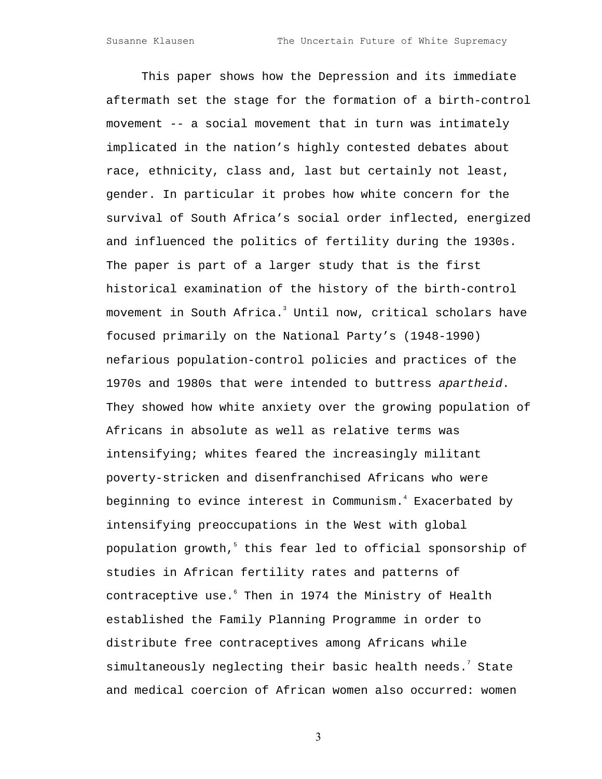This paper shows how the Depression and its immediate aftermath set the stage for the formation of a birth-control movement -- a social movement that in turn was intimately implicated in the nation's highly contested debates about race, ethnicity, class and, last but certainly not least, gender. In particular it probes how white concern for the survival of South Africa's social order inflected, energized and influenced the politics of fertility during the 1930s. The paper is part of a larger study that is the first historical examination of the history of the birth-control movementin South Africa.<sup>3</sup> Until now, critical scholars have focused primarily on the National Party's (1948-1990) nefarious population-control policies and practices of the 1970s and 1980s that were intended to buttress apartheid. They showed how white anxiety over the growing population of Africans in absolute as well as relative terms was intensifying; whites feared the increasingly militant poverty-stricken and disenfranchised Africans who were beginningto evince interest in Communism.<sup>4</sup> Exacerbated by intensifying preoccupations in the West with global populationgrowth, $^5$  this fear led to official sponsorship of studies in African fertility rates and patterns of contraceptiveuse. Then in 1974 the Ministry of Health established the Family Planning Programme in order to distribute free contraceptives among Africans while simultaneouslyneglecting their basic health needs. $^7$  State and medical coercion of African women also occurred: women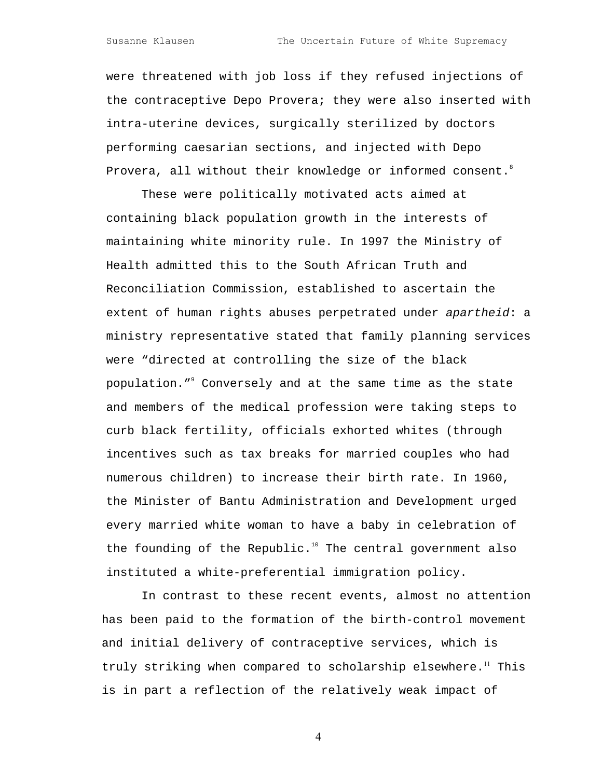were threatened with job loss if they refused injections of the contraceptive Depo Provera; they were also inserted with intra-uterine devices, surgically sterilized by doctors performing caesarian sections, and injected with Depo Provera, all without their knowledge or informed consent.

These were politically motivated acts aimed at containing black population growth in the interests of maintaining white minority rule. In 1997 the Ministry of Health admitted this to the South African Truth and Reconciliation Commission, established to ascertain the extent of human rights abuses perpetrated under apartheid: a ministry representative stated that family planning services were "directed at controlling the size of the black population."<sup>9</sup> Conversely and at the same time as the state and members of the medical profession were taking steps to curb black fertility, officials exhorted whites (through incentives such as tax breaks for married couples who had numerous children) to increase their birth rate. In 1960, the Minister of Bantu Administration and Development urged every married white woman to have a baby in celebration of the founding of the Republic. $10$  The central government also instituted a white-preferential immigration policy.

In contrast to these recent events, almost no attention has been paid to the formation of the birth-control movement and initial delivery of contraceptive services, which is truly striking when compared to scholarship elsewhere.<sup>[11](#page-40-10)</sup> This is in part a reflection of the relatively weak impact of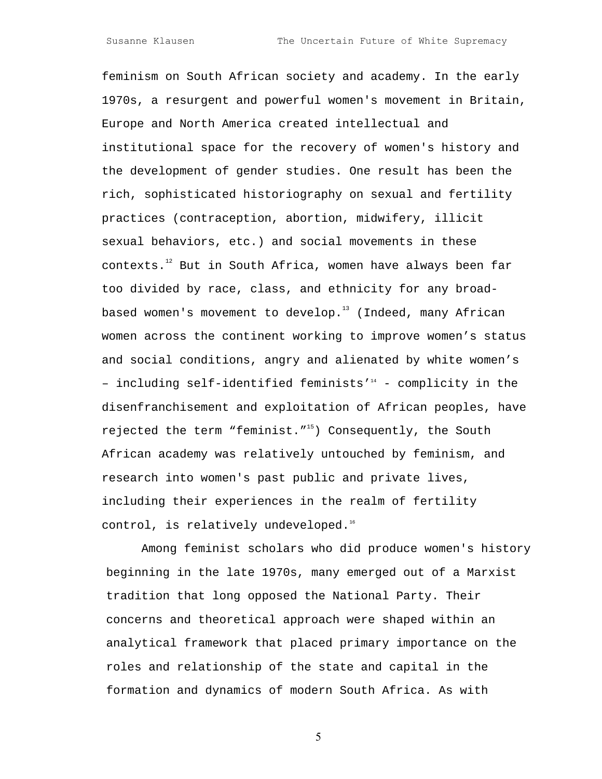feminism on South African society and academy. In the early 1970s, a resurgent and powerful women's movement in Britain, Europe and North America created intellectual and institutional space for the recovery of women's history and the development of gender studies. One result has been the rich, sophisticated historiography on sexual and fertility practices (contraception, abortion, midwifery, illicit sexual behaviors, etc.) and social movements in these contexts. $12$  But in South Africa, women have always been far too divided by race, class, and ethnicity for any broadbased women's movement to develop. $13$  (Indeed, many African women across the continent working to improve women's status and social conditions, angry and alienated by white women's - including self-identified feminists'<sup>14</sup> - complicity in the disenfranchisement and exploitation of African peoples, have rejected the term "feminist."<sup>15</sup>) Consequently, the South African academy was relatively untouched by feminism, and research into women's past public and private lives, including their experiences in the realm of fertility control, is relatively undeveloped.<sup>[16](#page-40-15)</sup>

Among feminist scholars who did produce women's history beginning in the late 1970s, many emerged out of a Marxist tradition that long opposed the National Party. Their concerns and theoretical approach were shaped within an analytical framework that placed primary importance on the roles and relationship of the state and capital in the formation and dynamics of modern South Africa. As with

 $\sim$  5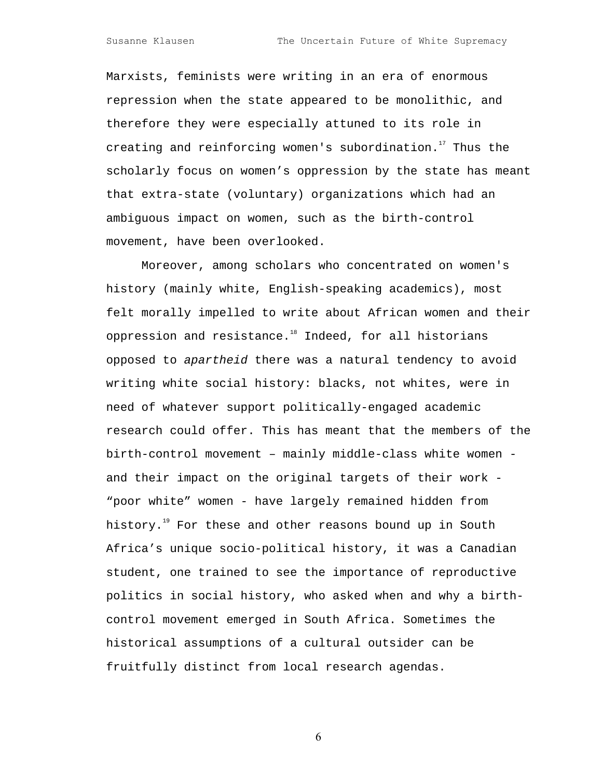Marxists, feminists were writing in an era of enormous repression when the state appeared to be monolithic, and therefore they were especially attuned to its role in creating and reinforcing women's subordination.<sup>17</sup> Thus the scholarly focus on women's oppression by the state has meant that extra-state (voluntary) organizations which had an ambiguous impact on women, such as the birth-control movement, have been overlooked.

Moreover, among scholars who concentrated on women's history (mainly white, English-speaking academics), most felt morally impelled to write about African women and their oppression and resistance.<sup>18</sup> Indeed, for all historians opposed to apartheid there was a natural tendency to avoid writing white social history: blacks, not whites, were in need of whatever support politically-engaged academic research could offer. This has meant that the members of the birth-control movement – mainly middle-class white women and their impact on the original targets of their work - "poor white" women - have largely remained hidden from history.<sup>19</sup> For these and other reasons bound up in South Africa's unique socio-political history, it was a Canadian student, one trained to see the importance of reproductive politics in social history, who asked when and why a birthcontrol movement emerged in South Africa. Sometimes the historical assumptions of a cultural outsider can be fruitfully distinct from local research agendas.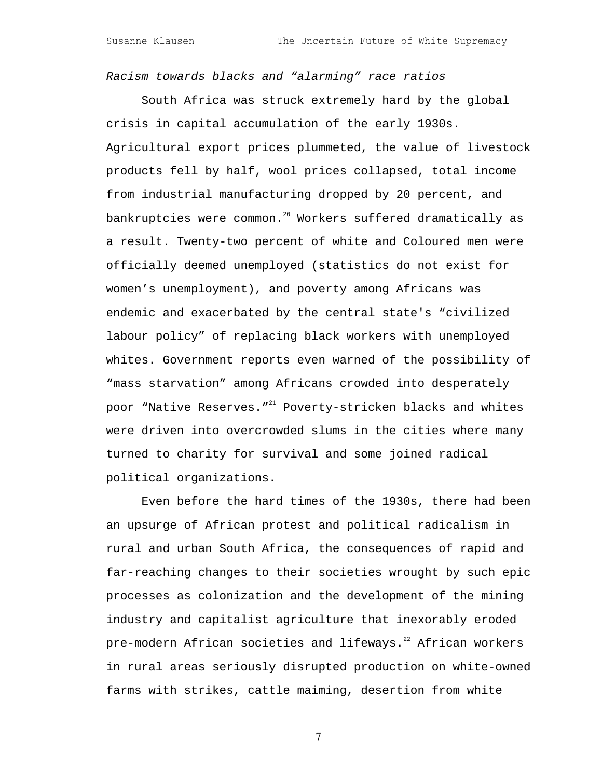Racism towards blacks and "alarming" race ratios

South Africa was struck extremely hard by the global crisis in capital accumulation of the early 1930s. Agricultural export prices plummeted, the value of livestock products fell by half, wool prices collapsed, total income from industrial manufacturing dropped by 20 percent, and bankruptcies were common.<sup>20</sup> Workers suffered dramatically as a result. Twenty-two percent of white and Coloured men were officially deemed unemployed (statistics do not exist for women's unemployment), and poverty among Africans was endemic and exacerbated by the central state's "civilized labour policy" of replacing black workers with unemployed whites. Government reports even warned of the possibility of "mass starvation" among Africans crowded into desperately poor "Native Reserves."<sup>21</sup> Poverty-stricken blacks and whites were driven into overcrowded slums in the cities where many turned to charity for survival and some joined radical political organizations.

Even before the hard times of the 1930s, there had been an upsurge of African protest and political radicalism in rural and urban South Africa, the consequences of rapid and far-reaching changes to their societies wrought by such epic processes as colonization and the development of the mining industry and capitalist agriculture that inexorably eroded pre-modern African societies and lifeways.<sup>22</sup> African workers in rural areas seriously disrupted production on white-owned farms with strikes, cattle maiming, desertion from white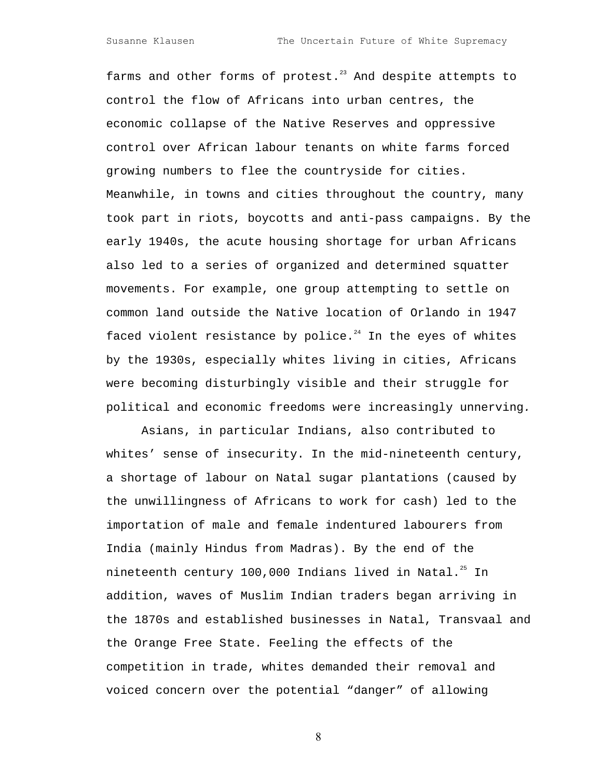farms and other forms of protest. $^{23}$  And despite attempts to control the flow of Africans into urban centres, the economic collapse of the Native Reserves and oppressive control over African labour tenants on white farms forced growing numbers to flee the countryside for cities. Meanwhile, in towns and cities throughout the country, many took part in riots, boycotts and anti-pass campaigns. By the early 1940s, the acute housing shortage for urban Africans also led to a series of organized and determined squatter movements. For example, one group attempting to settle on common land outside the Native location of Orlando in 1947 faced violent resistance by police. $24$  In the eyes of whites by the 1930s, especially whites living in cities, Africans were becoming disturbingly visible and their struggle for political and economic freedoms were increasingly unnerving.

Asians, in particular Indians, also contributed to whites' sense of insecurity. In the mid-nineteenth century, a shortage of labour on Natal sugar plantations (caused by the unwillingness of Africans to work for cash) led to the importation of male and female indentured labourers from India (mainly Hindus from Madras). By the end of the nineteenth century 100,000 Indians lived in Natal.<sup>25</sup> In addition, waves of Muslim Indian traders began arriving in the 1870s and established businesses in Natal, Transvaal and the Orange Free State. Feeling the effects of the competition in trade, whites demanded their removal and voiced concern over the potential "danger" of allowing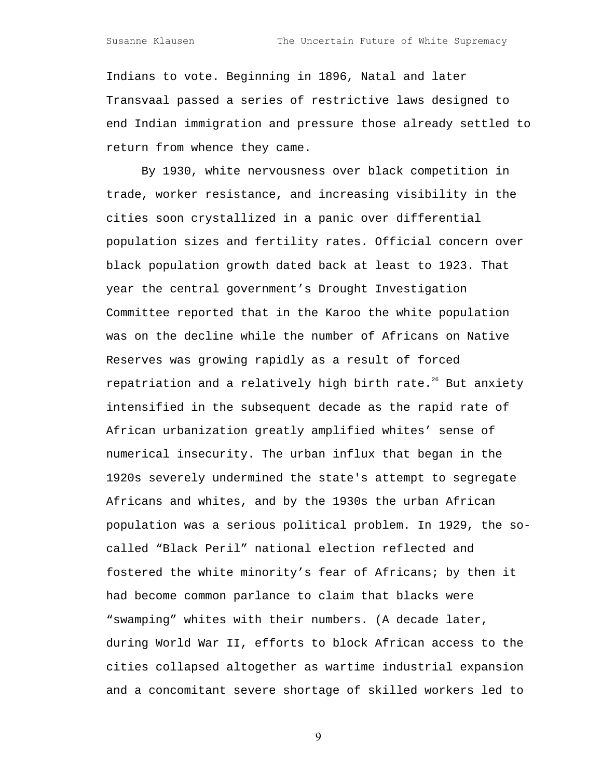Indians to vote. Beginning in 1896, Natal and later Transvaal passed a series of restrictive laws designed to end Indian immigration and pressure those already settled to return from whence they came.

By 1930, white nervousness over black competition in trade, worker resistance, and increasing visibility in the cities soon crystallized in a panic over differential population sizes and fertility rates. Official concern over black population growth dated back at least to 1923. That year the central government's Drought Investigation Committee reported that in the Karoo the white population was on the decline while the number of Africans on Native Reserves was growing rapidly as a result of forced repatriation and a relatively high birth rate.<sup>26</sup> But anxiety intensified in the subsequent decade as the rapid rate of African urbanization greatly amplified whites' sense of numerical insecurity. The urban influx that began in the 1920s severely undermined the state's attempt to segregate Africans and whites, and by the 1930s the urban African population was a serious political problem. In 1929, the socalled "Black Peril" national election reflected and fostered the white minority's fear of Africans; by then it had become common parlance to claim that blacks were "swamping" whites with their numbers. (A decade later, during World War II, efforts to block African access to the cities collapsed altogether as wartime industrial expansion and a concomitant severe shortage of skilled workers led to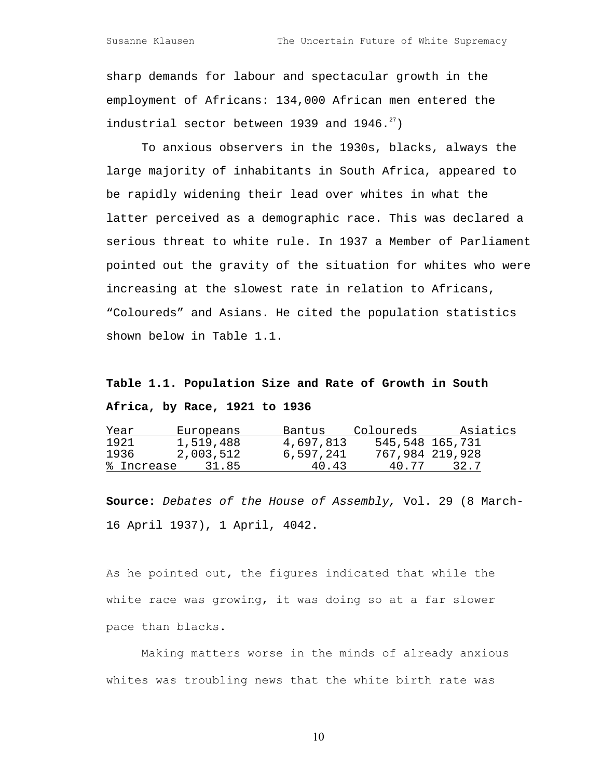sharp demands for labour and spectacular growth in the employment of Africans: 134,000 African men entered the industrial sector between 1939 and  $1946.^{27}$ )

To anxious observers in the 1930s, blacks, always the large majority of inhabitants in South Africa, appeared to be rapidly widening their lead over whites in what the latter perceived as a demographic race. This was declared a serious threat to white rule. In 1937 a Member of Parliament pointed out the gravity of the situation for whites who were increasing at the slowest rate in relation to Africans, "Coloureds" and Asians. He cited the population statistics shown below in Table 1.1.

# **Table 1.1. Population Size and Rate of Growth in South Africa, by Race, 1921 to 1936**

| Year       | Europeans | Bantus    | Coloureds | Asiatics        |
|------------|-----------|-----------|-----------|-----------------|
| 1921       | 1,519,488 | 4,697,813 |           | 545,548 165,731 |
| 1936       | 2,003,512 | 6,597,241 |           | 767,984 219,928 |
| % Increase | 31.85     | 40.43     | 40.77     | 32.7            |

**Source:** Debates of the House of Assembly, Vol. 29 (8 March-16 April 1937), 1 April, 4042.

As he pointed out, the figures indicated that while the white race was growing, it was doing so at a far slower pace than blacks.

Making matters worse in the minds of already anxious whites was troubling news that the white birth rate was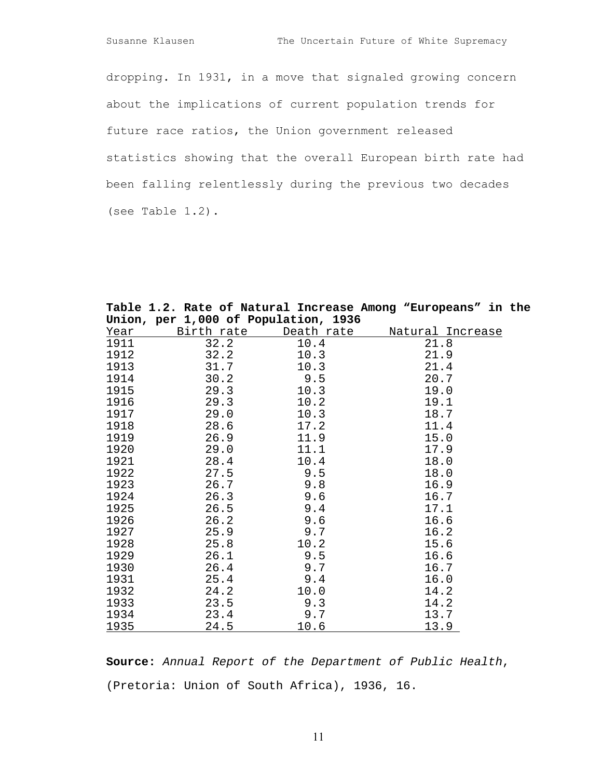dropping. In 1931, in a move that signaled growing concern about the implications of current population trends for future race ratios, the Union government released statistics showing that the overall European birth rate had been falling relentlessly during the previous two decades (see Table 1.2).

| Union, per 1,000 of Population, 1936 |            |            |                         |  |  |
|--------------------------------------|------------|------------|-------------------------|--|--|
| Year                                 | Birth rate | Death rate | <u>Natural Increase</u> |  |  |
| 1911                                 | 32.2       | 10.4       | 21.8                    |  |  |
| 1912                                 | 32.2       | 10.3       | 21.9                    |  |  |
| 1913                                 | 31.7       | 10.3       | 21.4                    |  |  |
| 1914                                 | 30.2       | 9.5        | 20.7                    |  |  |
| 1915                                 | 29.3       | 10.3       | 19.0                    |  |  |
| 1916                                 | 29.3       | 10.2       | 19.1                    |  |  |
| 1917                                 | 29.0       | 10.3       | 18.7                    |  |  |
| 1918                                 | 28.6       | 17.2       | 11.4                    |  |  |
| 1919                                 | 26.9       | 11.9       | 15.0                    |  |  |
| 1920                                 | 29.0       | 11.1       | 17.9                    |  |  |
| 1921                                 | 28.4       | 10.4       | 18.0                    |  |  |
| 1922                                 | 27.5       | 9.5        | 18.0                    |  |  |
| 1923                                 | 26.7       | 9.8        | 16.9                    |  |  |
| 1924                                 | 26.3       | 9.6        | 16.7                    |  |  |
| 1925                                 | 26.5       | 9.4        | 17.1                    |  |  |
| 1926                                 | 26.2       | 9.6        | 16.6                    |  |  |
| 1927                                 | 25.9       | 9.7        | 16.2                    |  |  |
| 1928                                 | 25.8       | 10.2       | 15.6                    |  |  |
| 1929                                 | 26.1       | 9.5        | 16.6                    |  |  |
| 1930                                 | 26.4       | 9.7        | 16.7                    |  |  |
| 1931                                 | 25.4       | 9.4        | 16.0                    |  |  |
| 1932                                 | 24.2       | 10.0       | 14.2                    |  |  |
| 1933                                 | 23.5       | 9.3        | 14.2                    |  |  |
| 1934                                 | 23.4       | 9.7        | 13.7                    |  |  |
| 1935                                 | 24.5       | 10.6       | 13.9                    |  |  |

**Table 1.2. Rate of Natural Increase Among "Europeans" in the** 

**Source:** Annual Report of the Department of Public Health, (Pretoria: Union of South Africa), 1936, 16.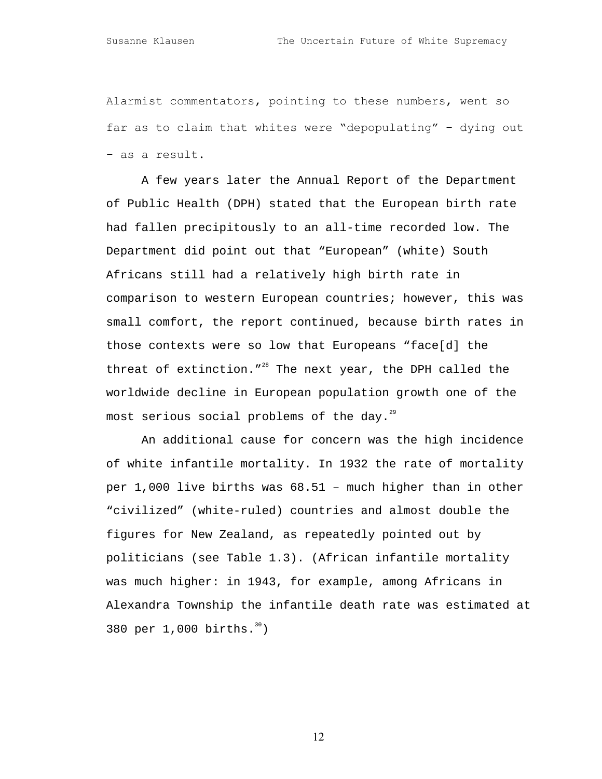Alarmist commentators, pointing to these numbers, went so far as to claim that whites were "depopulating" – dying out – as a result.

A few years later the Annual Report of the Department of Public Health (DPH) stated that the European birth rate had fallen precipitously to an all-time recorded low. The Department did point out that "European" (white) South Africans still had a relatively high birth rate in comparison to western European countries; however, this was small comfort, the report continued, because birth rates in those contexts were so low that Europeans "face[d] the threat of extinction."<sup>28</sup> The next year, the DPH called the worldwide decline in European population growth one of the most serious social problems of the day. $^{^{29}}$  $^{^{29}}$  $^{^{29}}$ 

An additional cause for concern was the high incidence of white infantile mortality. In 1932 the rate of mortality per 1,000 live births was 68.51 – much higher than in other "civilized" (white-ruled) countries and almost double the figures for New Zealand, as repeatedly pointed out by politicians (see Table 1.3). (African infantile mortality was much higher: in 1943, for example, among Africans in Alexandra Township the infantile death rate was estimated at 380 per  $1,000$  births.  $30)$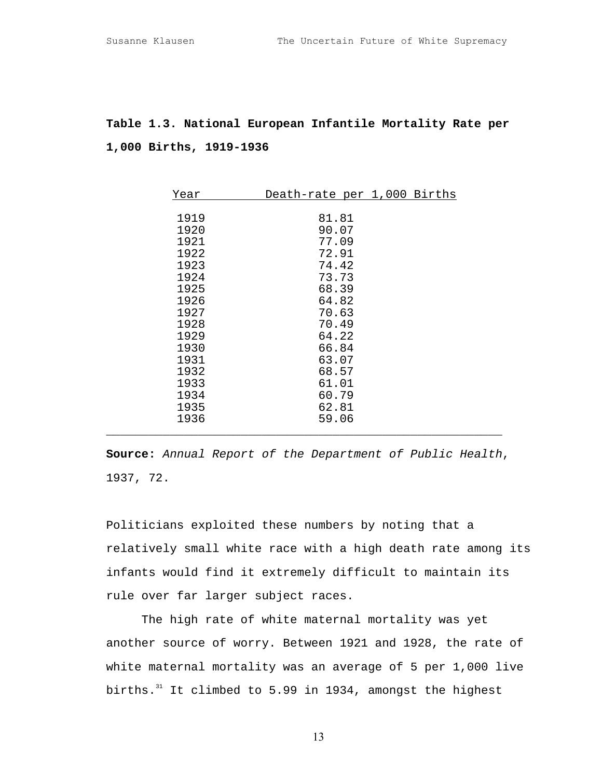## **Table 1.3. National European Infantile Mortality Rate per 1,000 Births, 1919-1936**

| Year | Death-rate per 1,000 Births |
|------|-----------------------------|
|      |                             |
| 1919 | 81.81                       |
| 1920 | 90.07                       |
| 1921 | 77.09                       |
| 1922 | 72.91                       |
| 1923 | 74.42                       |
| 1924 | 73.73                       |
| 1925 | 68.39                       |
| 1926 | 64.82                       |
| 1927 | 70.63                       |
| 1928 | 70.49                       |
| 1929 | 64.22                       |
| 1930 | 66.84                       |
| 1931 | 63.07                       |
| 1932 | 68.57                       |
| 1933 | 61.01                       |
| 1934 | 60.79                       |
| 1935 | 62.81                       |
| 1936 | 59.06                       |
|      |                             |

**Source:** Annual Report of the Department of Public Health, 1937, 72.

Politicians exploited these numbers by noting that a relatively small white race with a high death rate among its infants would find it extremely difficult to maintain its rule over far larger subject races.

The high rate of white maternal mortality was yet another source of worry. Between 1921 and 1928, the rate of white maternal mortality was an average of 5 per 1,000 live births. $31$  It climbed to 5.99 in 1934, amongst the highest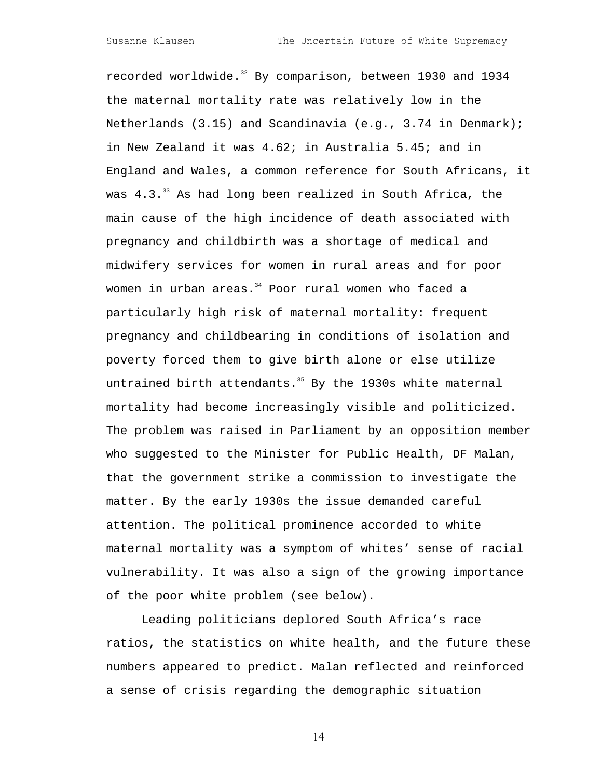Susanne Klausen The Uncertain Future of White Supremacy

recorded worldwide.<sup>32</sup> By comparison, between 1930 and 1934 the maternal mortality rate was relatively low in the Netherlands (3.15) and Scandinavia (e.g., 3.74 in Denmark); in New Zealand it was 4.62; in Australia 5.45; and in England and Wales, a common reference for South Africans, it was  $4.3.^{33}$  As had long been realized in South Africa, the main cause of the high incidence of death associated with pregnancy and childbirth was a shortage of medical and midwifery services for women in rural areas and for poor women in urban areas. $34$  Poor rural women who faced a particularly high risk of maternal mortality: frequent pregnancy and childbearing in conditions of isolation and poverty forced them to give birth alone or else utilize untrained birth attendants. $35$  By the 1930s white maternal mortality had become increasingly visible and politicized. The problem was raised in Parliament by an opposition member who suggested to the Minister for Public Health, DF Malan, that the government strike a commission to investigate the matter. By the early 1930s the issue demanded careful attention. The political prominence accorded to white maternal mortality was a symptom of whites' sense of racial vulnerability. It was also a sign of the growing importance of the poor white problem (see below).

Leading politicians deplored South Africa's race ratios, the statistics on white health, and the future these numbers appeared to predict. Malan reflected and reinforced a sense of crisis regarding the demographic situation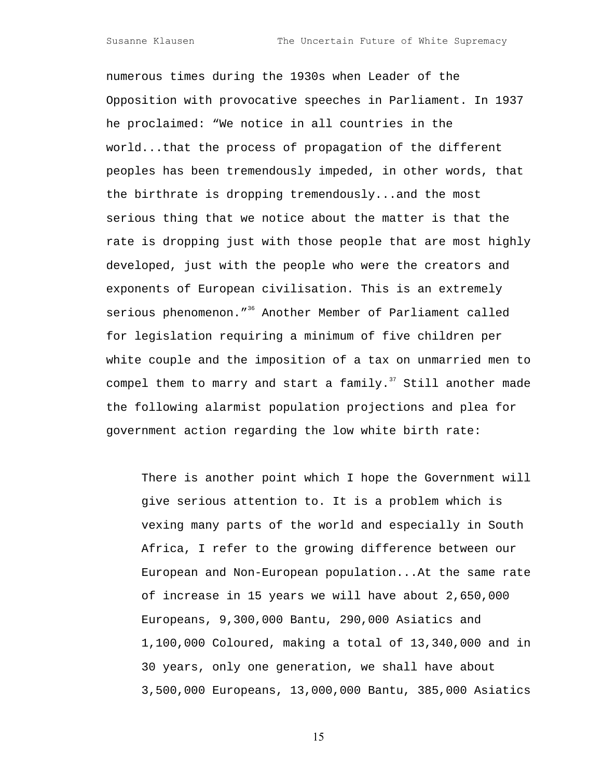numerous times during the 1930s when Leader of the Opposition with provocative speeches in Parliament. In 1937 he proclaimed: "We notice in all countries in the world...that the process of propagation of the different peoples has been tremendously impeded, in other words, that the birthrate is dropping tremendously...and the most serious thing that we notice about the matter is that the rate is dropping just with those people that are most highly developed, just with the people who were the creators and exponents of European civilisation. This is an extremely serious phenomenon."<sup>36</sup> Another Member of Parliament called for legislation requiring a minimum of five children per white couple and the imposition of a tax on unmarried men to compel them to marry and start a family. $37$  Still another made the following alarmist population projections and plea for government action regarding the low white birth rate:

There is another point which I hope the Government will give serious attention to. It is a problem which is vexing many parts of the world and especially in South Africa, I refer to the growing difference between our European and Non-European population...At the same rate of increase in 15 years we will have about 2,650,000 Europeans, 9,300,000 Bantu, 290,000 Asiatics and 1,100,000 Coloured, making a total of 13,340,000 and in 30 years, only one generation, we shall have about 3,500,000 Europeans, 13,000,000 Bantu, 385,000 Asiatics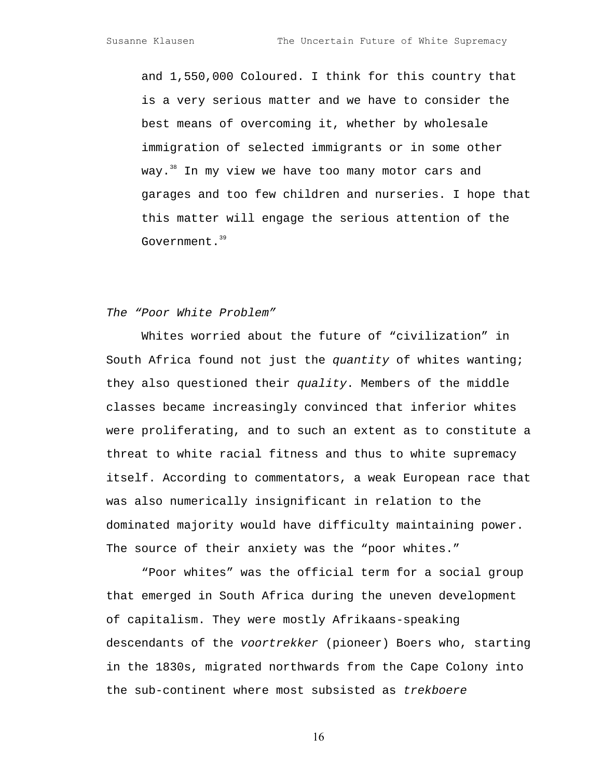and 1,550,000 Coloured. I think for this country that is a very serious matter and we have to consider the best means of overcoming it, whether by wholesale immigration of selected immigrants or in some other way.<sup>38</sup> In my view we have too many motor cars and garages and too few children and nurseries. I hope that this matter will engage the serious attention of the Government.<sup>[39](#page-40-32)</sup>

#### The "Poor White Problem"

Whites worried about the future of "civilization" in South Africa found not just the quantity of whites wanting; they also questioned their quality. Members of the middle classes became increasingly convinced that inferior whites were proliferating, and to such an extent as to constitute a threat to white racial fitness and thus to white supremacy itself. According to commentators, a weak European race that was also numerically insignificant in relation to the dominated majority would have difficulty maintaining power. The source of their anxiety was the "poor whites."

"Poor whites" was the official term for a social group that emerged in South Africa during the uneven development of capitalism. They were mostly Afrikaans-speaking descendants of the voortrekker (pioneer) Boers who, starting in the 1830s, migrated northwards from the Cape Colony into the sub-continent where most subsisted as trekboere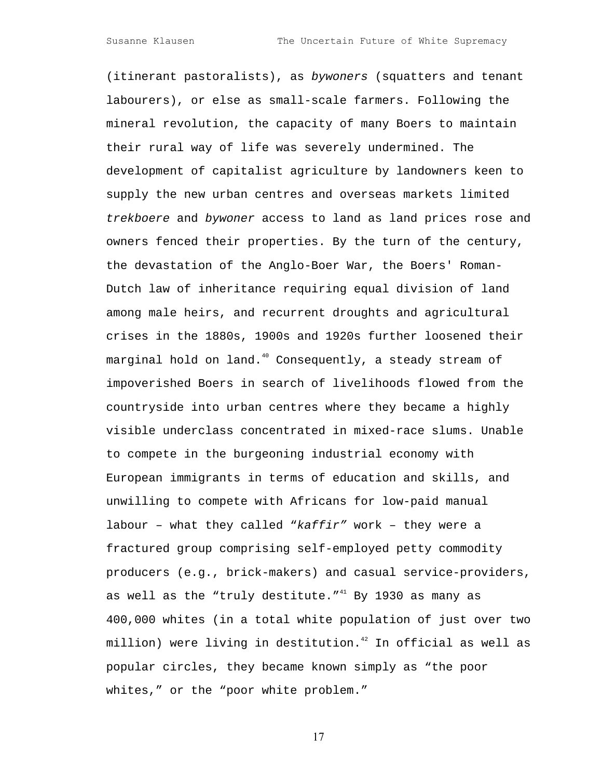(itinerant pastoralists), as bywoners (squatters and tenant labourers), or else as small-scale farmers. Following the mineral revolution, the capacity of many Boers to maintain their rural way of life was severely undermined. The development of capitalist agriculture by landowners keen to supply the new urban centres and overseas markets limited trekboere and bywoner access to land as land prices rose and owners fenced their properties. By the turn of the century, the devastation of the Anglo-Boer War, the Boers' Roman-Dutch law of inheritance requiring equal division of land among male heirs, and recurrent droughts and agricultural crises in the 1880s, 1900s and 1920s further loosened their marginal hold on land.<sup>40</sup> Consequently, a steady stream of impoverished Boers in search of livelihoods flowed from the countryside into urban centres where they became a highly visible underclass concentrated in mixed-race slums. Unable to compete in the burgeoning industrial economy with European immigrants in terms of education and skills, and unwilling to compete with Africans for low-paid manual labour – what they called " $kaffir''$  work – they were a fractured group comprising self-employed petty commodity producers (e.g., brick-makers) and casual service-providers, as well as the "truly destitute." $41$  By 1930 as many as 400,000 whites (in a total white population of just over two million) were living in destitution. $42$  In official as well as popular circles, they became known simply as "the poor whites," or the "poor white problem."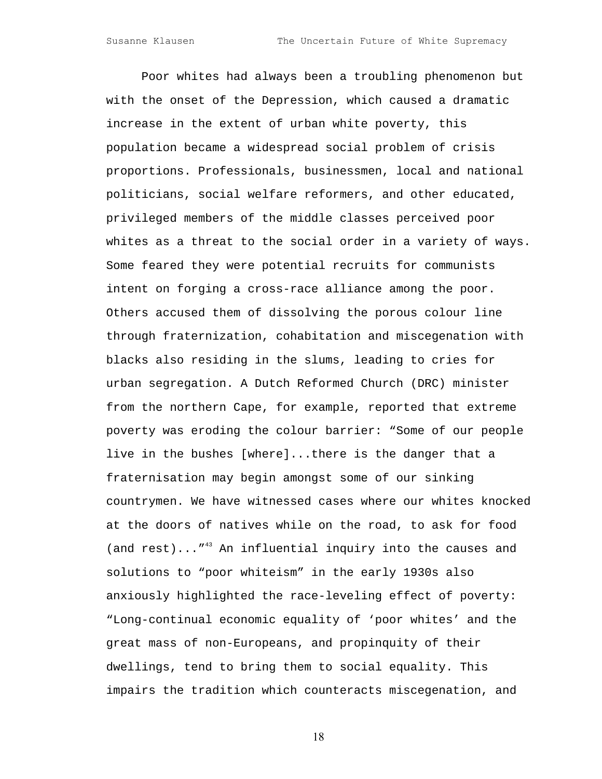Poor whites had always been a troubling phenomenon but with the onset of the Depression, which caused a dramatic increase in the extent of urban white poverty, this population became a widespread social problem of crisis proportions. Professionals, businessmen, local and national politicians, social welfare reformers, and other educated, privileged members of the middle classes perceived poor whites as a threat to the social order in a variety of ways. Some feared they were potential recruits for communists intent on forging a cross-race alliance among the poor. Others accused them of dissolving the porous colour line through fraternization, cohabitation and miscegenation with blacks also residing in the slums, leading to cries for urban segregation. A Dutch Reformed Church (DRC) minister from the northern Cape, for example, reported that extreme poverty was eroding the colour barrier: "Some of our people live in the bushes [where]...there is the danger that a fraternisation may begin amongst some of our sinking countrymen. We have witnessed cases where our whites knocked at the doors of natives while on the road, to ask for food (and rest)..."<sup>43</sup> An influential inquiry into the causes and solutions to "poor whiteism" in the early 1930s also anxiously highlighted the race-leveling effect of poverty: "Long-continual economic equality of 'poor whites' and the great mass of non-Europeans, and propinquity of their dwellings, tend to bring them to social equality. This impairs the tradition which counteracts miscegenation, and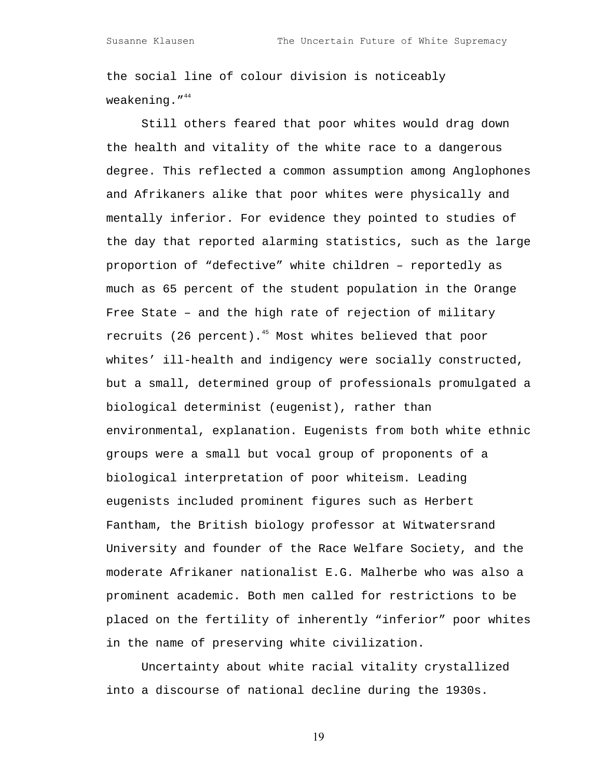the social line of colour division is noticeably weakening. $14^4$ 

Still others feared that poor whites would drag down the health and vitality of the white race to a dangerous degree. This reflected a common assumption among Anglophones and Afrikaners alike that poor whites were physically and mentally inferior. For evidence they pointed to studies of the day that reported alarming statistics, such as the large proportion of "defective" white children – reportedly as much as 65 percent of the student population in the Orange Free State – and the high rate of rejection of military recruits (26 percent). $45$  Most whites believed that poor whites' ill-health and indigency were socially constructed, but a small, determined group of professionals promulgated a biological determinist (eugenist), rather than environmental, explanation. Eugenists from both white ethnic groups were a small but vocal group of proponents of a biological interpretation of poor whiteism. Leading eugenists included prominent figures such as Herbert Fantham, the British biology professor at Witwatersrand University and founder of the Race Welfare Society, and the moderate Afrikaner nationalist E.G. Malherbe who was also a prominent academic. Both men called for restrictions to be placed on the fertility of inherently "inferior" poor whites in the name of preserving white civilization.

Uncertainty about white racial vitality crystallized into a discourse of national decline during the 1930s.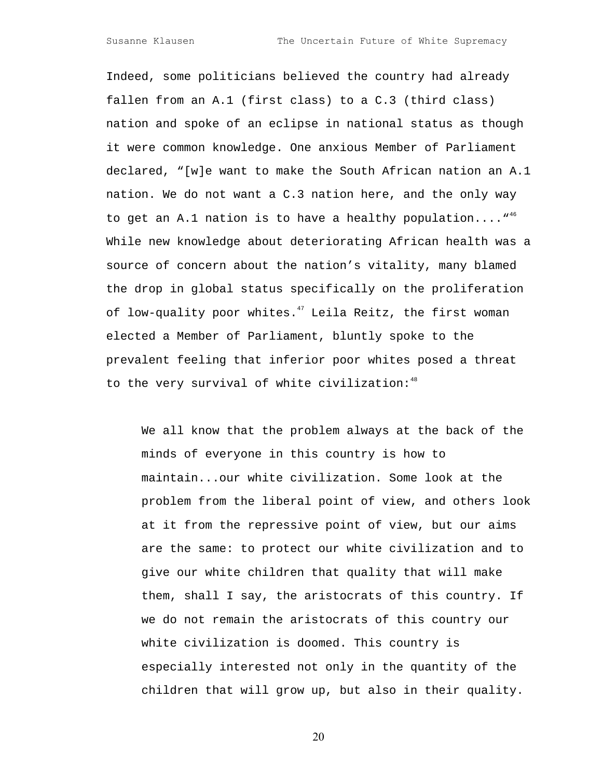Susanne Klausen The Uncertain Future of White Supremacy

Indeed, some politicians believed the country had already fallen from an A.1 (first class) to a C.3 (third class) nation and spoke of an eclipse in national status as though it were common knowledge. One anxious Member of Parliament declared, "[w]e want to make the South African nation an A.1 nation. We do not want a C.3 nation here, and the only way to get an A.1 nation is to have a healthy population.... $^{"46}$  $^{"46}$  $^{"46}$ While new knowledge about deteriorating African health was a source of concern about the nation's vitality, many blamed the drop in global status specifically on the proliferation of low-quality poor whites. $47$  Leila Reitz, the first woman elected a Member of Parliament, bluntly spoke to the prevalent feeling that inferior poor whites posed a threat to the very survival of white civilization:<sup>[48](#page-40-10)</sup>

We all know that the problem always at the back of the minds of everyone in this country is how to maintain...our white civilization. Some look at the problem from the liberal point of view, and others look at it from the repressive point of view, but our aims are the same: to protect our white civilization and to give our white children that quality that will make them, shall I say, the aristocrats of this country. If we do not remain the aristocrats of this country our white civilization is doomed. This country is especially interested not only in the quantity of the children that will grow up, but also in their quality.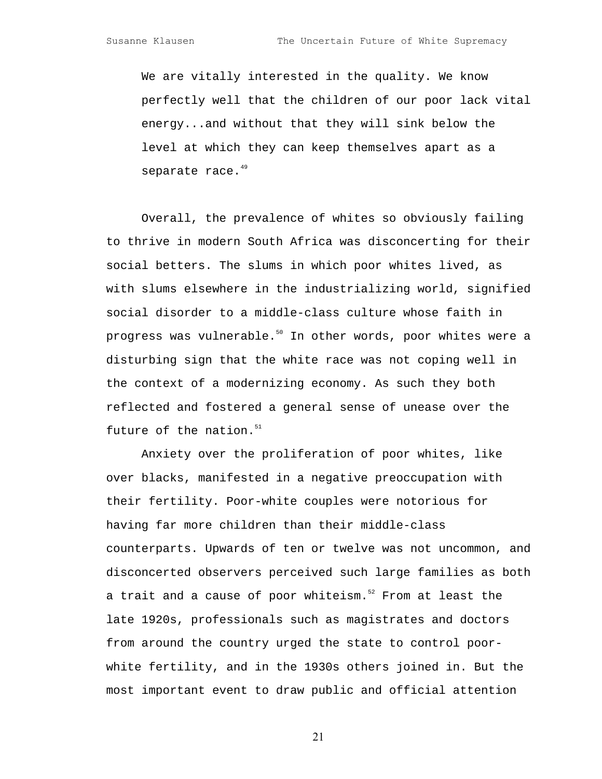We are vitally interested in the quality. We know perfectly well that the children of our poor lack vital energy...and without that they will sink below the level at which they can keep themselves apart as a separate race.<sup>[49](#page-40-17)</sup>

Overall, the prevalence of whites so obviously failing to thrive in modern South Africa was disconcerting for their social betters. The slums in which poor whites lived, as with slums elsewhere in the industrializing world, signified social disorder to a middle-class culture whose faith in progress was vulnerable.<sup>50</sup> In other words, poor whites were a disturbing sign that the white race was not coping well in the context of a modernizing economy. As such they both reflected and fostered a general sense of unease over the future of the nation. $51$ 

Anxiety over the proliferation of poor whites, like over blacks, manifested in a negative preoccupation with their fertility. Poor-white couples were notorious for having far more children than their middle-class counterparts. Upwards of ten or twelve was not uncommon, and disconcerted observers perceived such large families as both a trait and a cause of poor whiteism. $52$  From at least the late 1920s, professionals such as magistrates and doctors from around the country urged the state to control poorwhite fertility, and in the 1930s others joined in. But the most important event to draw public and official attention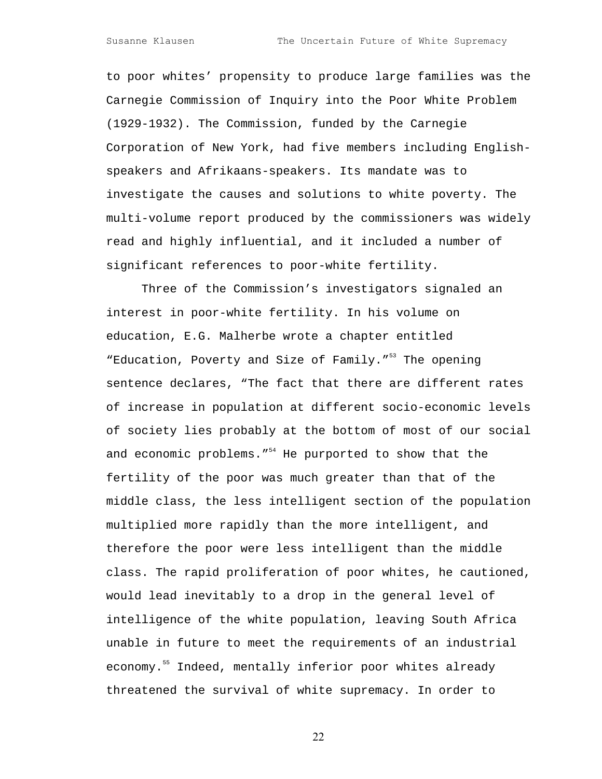to poor whites' propensity to produce large families was the Carnegie Commission of Inquiry into the Poor White Problem (1929-1932). The Commission, funded by the Carnegie Corporation of New York, had five members including Englishspeakers and Afrikaans-speakers. Its mandate was to investigate the causes and solutions to white poverty. The multi-volume report produced by the commissioners was widely read and highly influential, and it included a number of significant references to poor-white fertility.

Three of the Commission's investigators signaled an interest in poor-white fertility. In his volume on education, E.G. Malherbe wrote a chapter entitled "Education, Poverty and Size of Family."<sup>53</sup> The opening sentence declares, "The fact that there are different rates of increase in population at different socio-economic levels of society lies probably at the bottom of most of our social and economic problems."<sup>54</sup> He purported to show that the fertility of the poor was much greater than that of the middle class, the less intelligent section of the population multiplied more rapidly than the more intelligent, and therefore the poor were less intelligent than the middle class. The rapid proliferation of poor whites, he cautioned, would lead inevitably to a drop in the general level of intelligence of the white population, leaving South Africa unable in future to meet the requirements of an industrial economy.<sup>55</sup> Indeed, mentally inferior poor whites already threatened the survival of white supremacy. In order to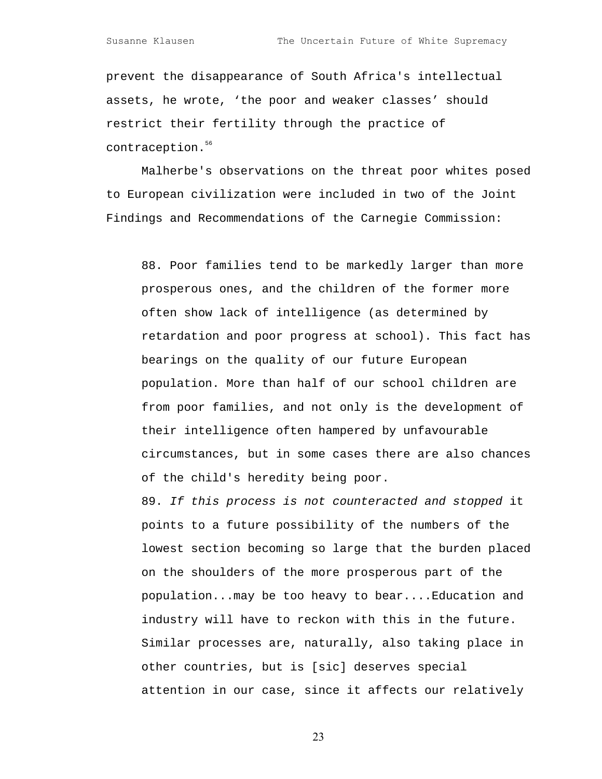prevent the disappearance of South Africa's intellectual assets, he wrote, 'the poor and weaker classes' should restrict their fertility through the practice of contraception.<sup>56</sup>

Malherbe's observations on the threat poor whites posed to European civilization were included in two of the Joint Findings and Recommendations of the Carnegie Commission:

88. Poor families tend to be markedly larger than more prosperous ones, and the children of the former more often show lack of intelligence (as determined by retardation and poor progress at school). This fact has bearings on the quality of our future European population. More than half of our school children are from poor families, and not only is the development of their intelligence often hampered by unfavourable circumstances, but in some cases there are also chances of the child's heredity being poor.

89. If this process is not counteracted and stopped it points to a future possibility of the numbers of the lowest section becoming so large that the burden placed on the shoulders of the more prosperous part of the population...may be too heavy to bear....Education and industry will have to reckon with this in the future. Similar processes are, naturally, also taking place in other countries, but is [sic] deserves special attention in our case, since it affects our relatively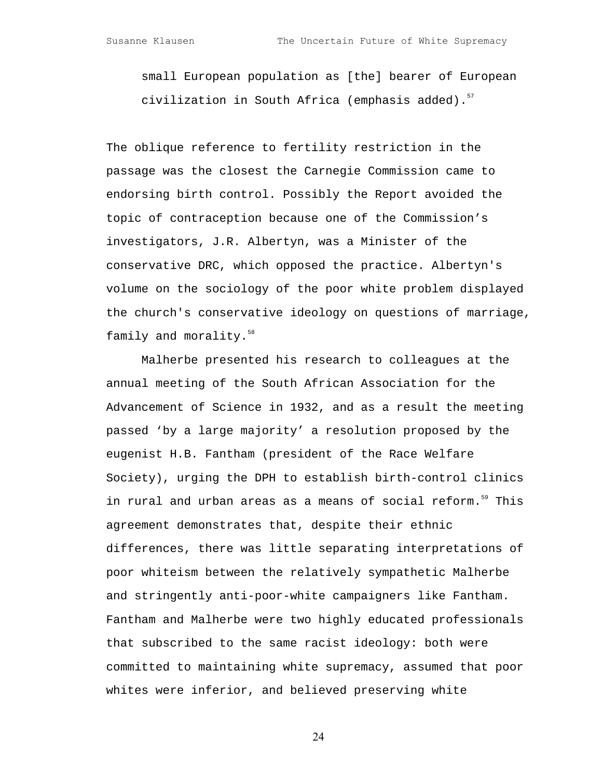small European population as [the] bearer of European civilization in South Africa (emphasis added). $57$ 

The oblique reference to fertility restriction in the passage was the closest the Carnegie Commission came to endorsing birth control. Possibly the Report avoided the topic of contraception because one of the Commission's investigators, J.R. Albertyn, was a Minister of the conservative DRC, which opposed the practice. Albertyn's volume on the sociology of the poor white problem displayed the church's conservative ideology on questions of marriage, family and morality.<sup>[58](#page-40-27)</sup>

Malherbe presented his research to colleagues at the annual meeting of the South African Association for the Advancement of Science in 1932, and as a result the meeting passed 'by a large majority' a resolution proposed by the eugenist H.B. Fantham (president of the Race Welfare Society), urging the DPH to establish birth-control clinics in rural and urban areas as a means of social reform.<sup>59</sup> This agreement demonstrates that, despite their ethnic differences, there was little separating interpretations of poor whiteism between the relatively sympathetic Malherbe and stringently anti-poor-white campaigners like Fantham. Fantham and Malherbe were two highly educated professionals that subscribed to the same racist ideology: both were committed to maintaining white supremacy, assumed that poor whites were inferior, and believed preserving white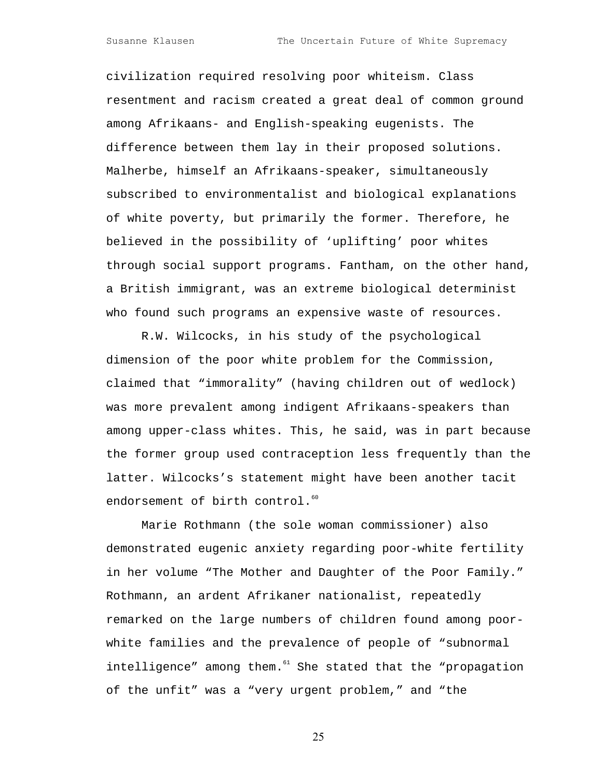civilization required resolving poor whiteism. Class resentment and racism created a great deal of common ground among Afrikaans- and English-speaking eugenists. The difference between them lay in their proposed solutions. Malherbe, himself an Afrikaans-speaker, simultaneously subscribed to environmentalist and biological explanations of white poverty, but primarily the former. Therefore, he believed in the possibility of 'uplifting' poor whites through social support programs. Fantham, on the other hand, a British immigrant, was an extreme biological determinist who found such programs an expensive waste of resources.

R.W. Wilcocks, in his study of the psychological dimension of the poor white problem for the Commission, claimed that "immorality" (having children out of wedlock) was more prevalent among indigent Afrikaans-speakers than among upper-class whites. This, he said, was in part because the former group used contraception less frequently than the latter. Wilcocks's statement might have been another tacit endorsement of birth control.<sup>[60](#page-40-38)</sup>

Marie Rothmann (the sole woman commissioner) also demonstrated eugenic anxiety regarding poor-white fertility in her volume "The Mother and Daughter of the Poor Family." Rothmann, an ardent Afrikaner nationalist, repeatedly remarked on the large numbers of children found among poorwhite families and the prevalence of people of "subnormal  $intelligence"$  among them. $61$  She stated that the "propagation of the unfit" was a "very urgent problem," and "the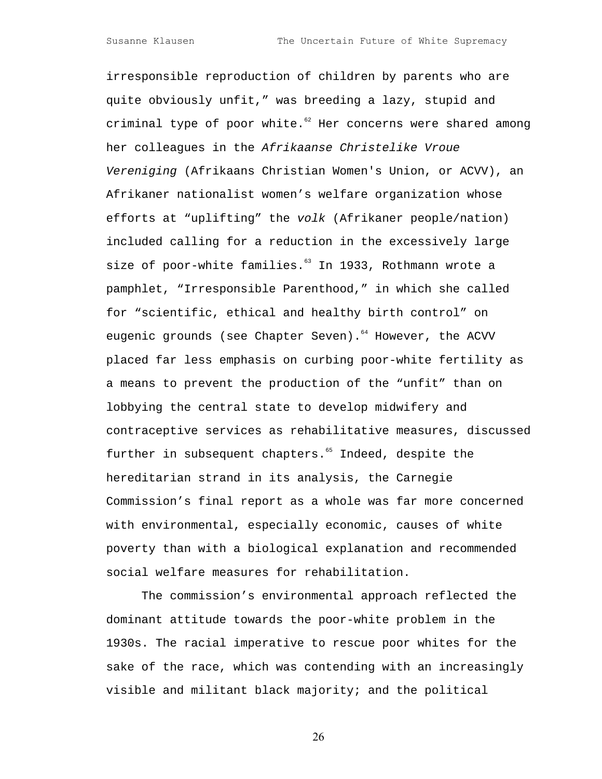irresponsible reproduction of children by parents who are quite obviously unfit," was breeding a lazy, stupid and criminal type of poor white. $62$  Her concerns were shared among her colleagues in the Afrikaanse Christelike Vroue Vereniging (Afrikaans Christian Women's Union, or ACVV), an Afrikaner nationalist women's welfare organization whose efforts at "uplifting" the volk (Afrikaner people/nation) included calling for a reduction in the excessively large size of poor-white families.<sup>63</sup> In 1933, Rothmann wrote a pamphlet, "Irresponsible Parenthood," in which she called for "scientific, ethical and healthy birth control" on eugenic grounds (see Chapter Seven).<sup>64</sup> However, the ACVV placed far less emphasis on curbing poor-white fertility as a means to prevent the production of the "unfit" than on lobbying the central state to develop midwifery and contraceptive services as rehabilitative measures, discussed further in subsequent chapters.<sup>55</sup> Indeed, despite the hereditarian strand in its analysis, the Carnegie Commission's final report as a whole was far more concerned with environmental, especially economic, causes of white poverty than with a biological explanation and recommended social welfare measures for rehabilitation.

The commission's environmental approach reflected the dominant attitude towards the poor-white problem in the 1930s. The racial imperative to rescue poor whites for the sake of the race, which was contending with an increasingly visible and militant black majority; and the political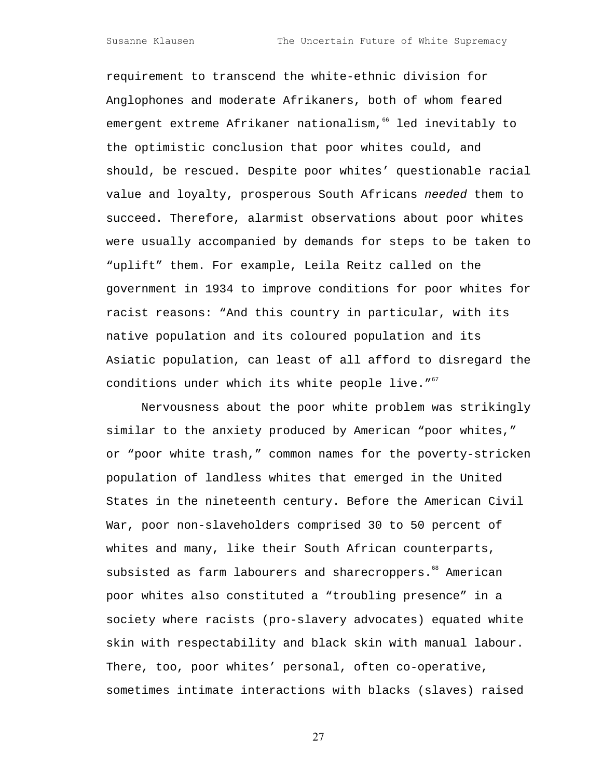requirement to transcend the white-ethnic division for Anglophones and moderate Afrikaners, both of whom feared emergent extreme Afrikaner nationalism,<sup>66</sup> led inevitably to the optimistic conclusion that poor whites could, and should, be rescued. Despite poor whites' questionable racial value and loyalty, prosperous South Africans needed them to succeed. Therefore, alarmist observations about poor whites were usually accompanied by demands for steps to be taken to "uplift" them. For example, Leila Reitz called on the government in 1934 to improve conditions for poor whites for racist reasons: "And this country in particular, with its native population and its coloured population and its Asiatic population, can least of all afford to disregard the conditions under which its white people live. $10^{67}$  $10^{67}$  $10^{67}$ 

Nervousness about the poor white problem was strikingly similar to the anxiety produced by American "poor whites," or "poor white trash," common names for the poverty-stricken population of landless whites that emerged in the United States in the nineteenth century. Before the American Civil War, poor non-slaveholders comprised 30 to 50 percent of whites and many, like their South African counterparts, subsisted as farm labourers and sharecroppers.<sup>68</sup> American poor whites also constituted a "troubling presence" in a society where racists (pro-slavery advocates) equated white skin with respectability and black skin with manual labour. There, too, poor whites' personal, often co-operative, sometimes intimate interactions with blacks (slaves) raised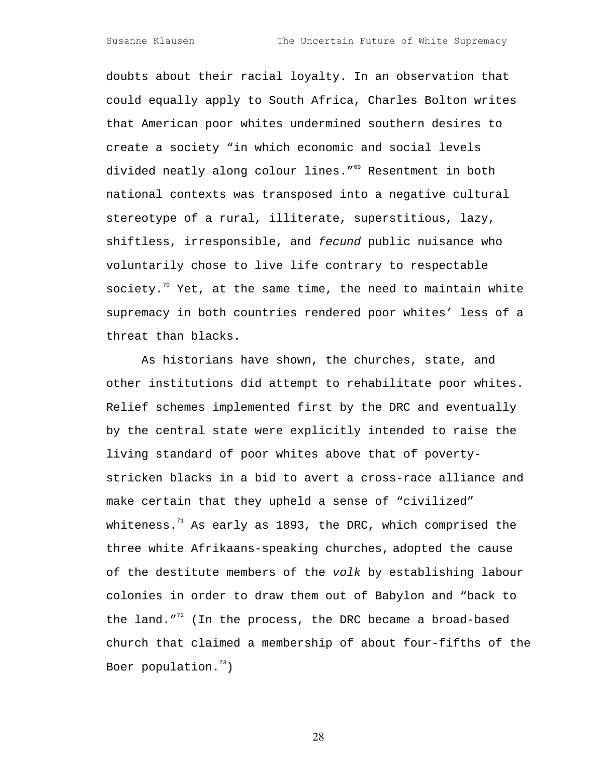doubts about their racial loyalty. In an observation that could equally apply to South Africa, Charles Bolton writes that American poor whites undermined southern desires to create a society "in which economic and social levels divided neatly along colour lines."<sup>69</sup> Resentment in both national contexts was transposed into a negative cultural stereotype of a rural, illiterate, superstitious, lazy, shiftless, irresponsible, and fecund public nuisance who voluntarily chose to live life contrary to respectable society.<sup>70</sup> Yet, at the same time, the need to maintain white supremacy in both countries rendered poor whites' less of a threat than blacks.

As historians have shown, the churches, state, and other institutions did attempt to rehabilitate poor whites. Relief schemes implemented first by the DRC and eventually by the central state were explicitly intended to raise the living standard of poor whites above that of povertystricken blacks in a bid to avert a cross-race alliance and make certain that they upheld a sense of "civilized" whiteness. $1/1$  As early as 1893, the DRC, which comprised the three white Afrikaans-speaking churches, adopted the cause of the destitute members of the volk by establishing labour colonies in order to draw them out of Babylon and "back to the land." $72$  (In the process, the DRC became a broad-based church that claimed a membership of about four-fifths of the Boer population. $13)$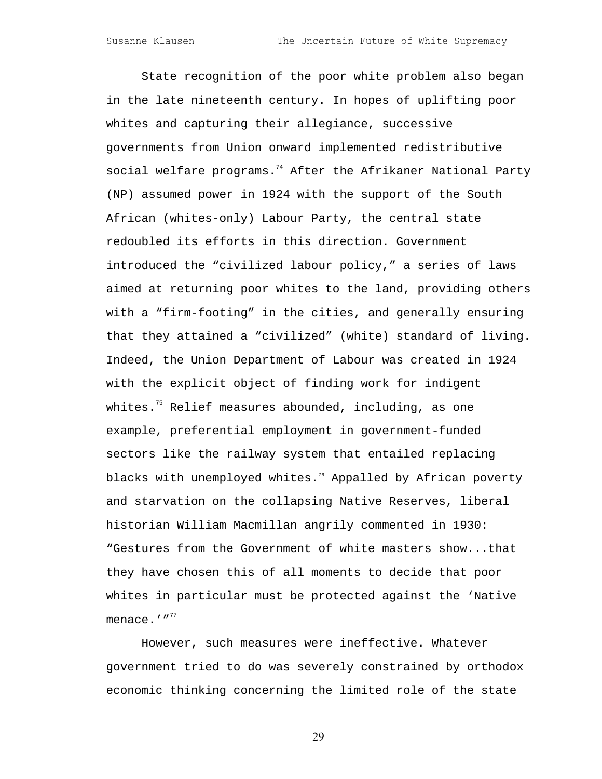State recognition of the poor white problem also began in the late nineteenth century. In hopes of uplifting poor whites and capturing their allegiance, successive governments from Union onward implemented redistributive social welfare programs. $74$  After the Afrikaner National Party (NP) assumed power in 1924 with the support of the South African (whites-only) Labour Party, the central state redoubled its efforts in this direction. Government introduced the "civilized labour policy," a series of laws aimed at returning poor whites to the land, providing others with a "firm-footing" in the cities, and generally ensuring that they attained a "civilized" (white) standard of living. Indeed, the Union Department of Labour was created in 1924 with the explicit object of finding work for indigent whites. $75$  Relief measures abounded, including, as one example, preferential employment in government-funded sectors like the railway system that entailed replacing blacks with unemployed whites.<sup>76</sup> Appalled by African poverty and starvation on the collapsing Native Reserves, liberal historian William Macmillan angrily commented in 1930: "Gestures from the Government of white masters show...that they have chosen this of all moments to decide that poor whites in particular must be protected against the 'Native menace. $'$ "<sup>[77](#page-40-54)</sup>

However, such measures were ineffective. Whatever government tried to do was severely constrained by orthodox economic thinking concerning the limited role of the state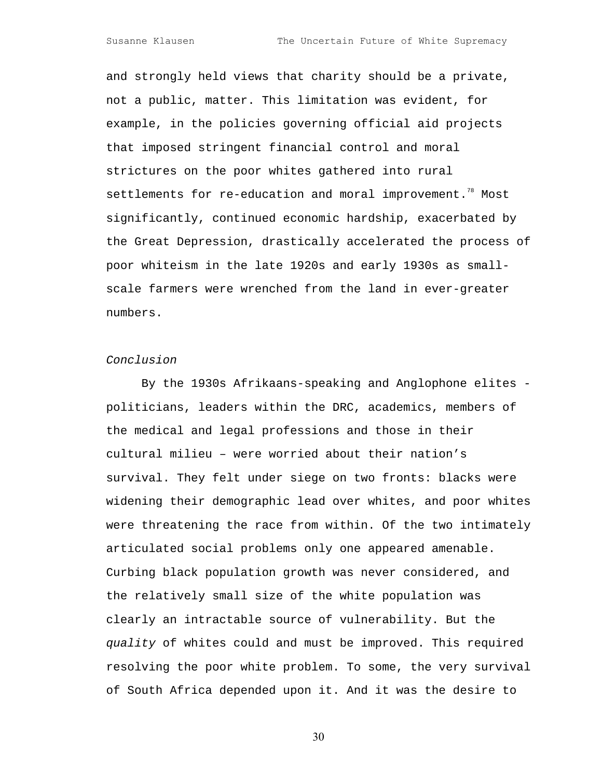and strongly held views that charity should be a private, not a public, matter. This limitation was evident, for example, in the policies governing official aid projects that imposed stringent financial control and moral strictures on the poor whites gathered into rural settlements for re-education and moral improvement.<sup>78</sup> Most significantly, continued economic hardship, exacerbated by the Great Depression, drastically accelerated the process of poor whiteism in the late 1920s and early 1930s as smallscale farmers were wrenched from the land in ever-greater numbers.

### Conclusion

By the 1930s Afrikaans-speaking and Anglophone elites politicians, leaders within the DRC, academics, members of the medical and legal professions and those in their cultural milieu – were worried about their nation's survival. They felt under siege on two fronts: blacks were widening their demographic lead over whites, and poor whites were threatening the race from within. Of the two intimately articulated social problems only one appeared amenable. Curbing black population growth was never considered, and the relatively small size of the white population was clearly an intractable source of vulnerability. But the quality of whites could and must be improved. This required resolving the poor white problem. To some, the very survival of South Africa depended upon it. And it was the desire to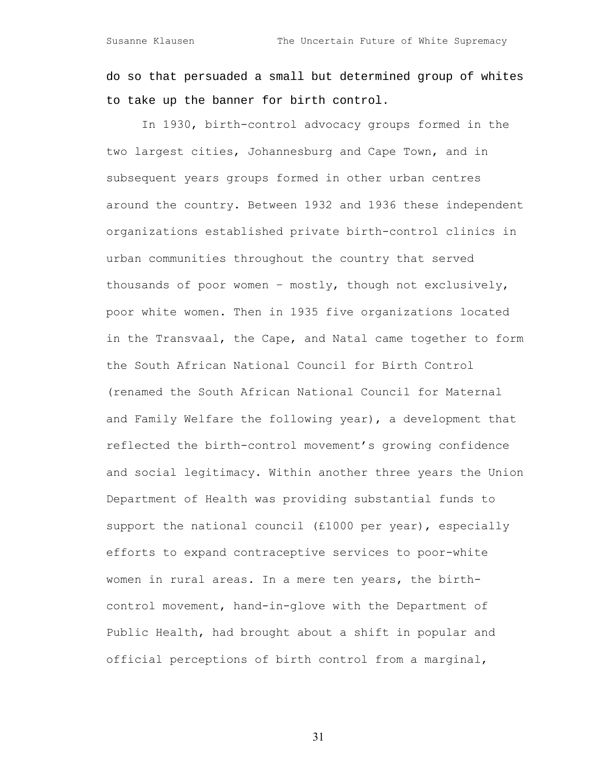do so that persuaded a small but determined group of whites to take up the banner for birth control.

In 1930, birth-control advocacy groups formed in the two largest cities, Johannesburg and Cape Town, and in subsequent years groups formed in other urban centres around the country. Between 1932 and 1936 these independent organizations established private birth-control clinics in urban communities throughout the country that served thousands of poor women – mostly, though not exclusively, poor white women. Then in 1935 five organizations located in the Transvaal, the Cape, and Natal came together to form the South African National Council for Birth Control (renamed the South African National Council for Maternal and Family Welfare the following year), a development that reflected the birth-control movement's growing confidence and social legitimacy. Within another three years the Union Department of Health was providing substantial funds to support the national council (£1000 per year), especially efforts to expand contraceptive services to poor-white women in rural areas. In a mere ten years, the birthcontrol movement, hand-in-glove with the Department of Public Health, had brought about a shift in popular and official perceptions of birth control from a marginal,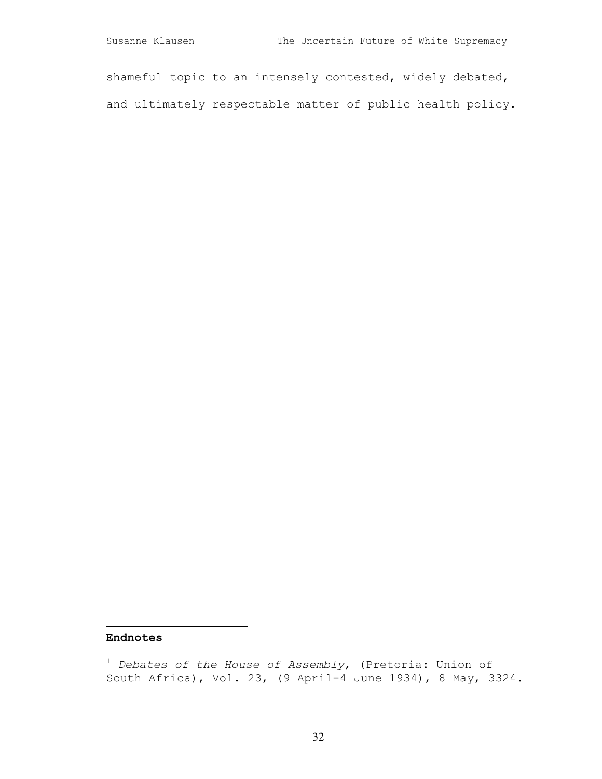shameful topic to an intensely contested, widely debated, and ultimately respectable matter of public health policy.

## **Endnotes**

 $\overline{\phantom{a}}$ 

<sup>1</sup>  *Debates of the House of Assembly*, (Pretoria: Union of South Africa), Vol. 23, (9 April-4 June 1934), 8 May, 3324.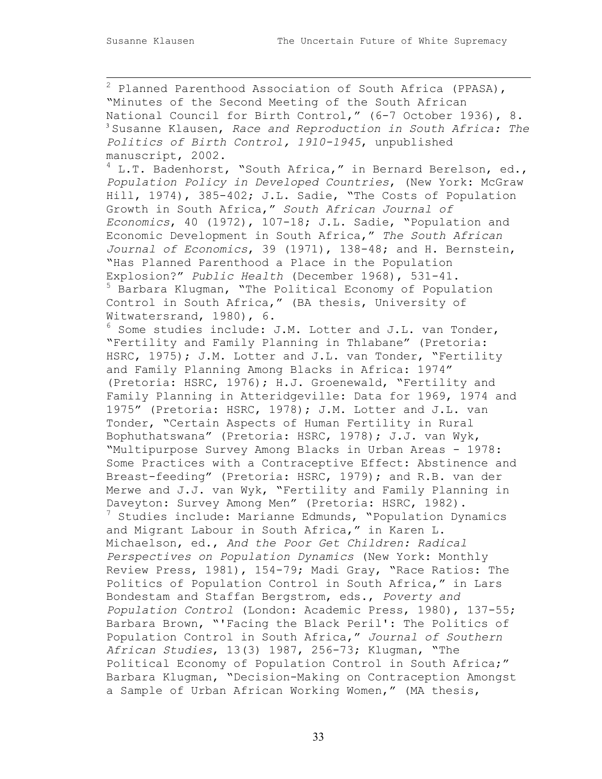2 Planned Parenthood Association of South Africa (PPASA), "Minutes of the Second Meeting of the South African National Council for Birth Control," (6-7 October 1936), 8. <sup>3</sup> Susanne Klausen, *Race and Reproduction in South Africa: The Politics of Birth Control, 1910-1945*, unpublished manuscript, 2002.  $4$  L.T. Badenhorst, "South Africa," in Bernard Berelson, ed., *Population Policy in Developed Countries*, (New York: McGraw Hill, 1974), 385-402; J.L. Sadie, "The Costs of Population Growth in South Africa," *South African Journal of Economics*, 40 (1972), 107-18; J.L. Sadie, "Population and Economic Development in South Africa," *The South African Journal of Economics*, 39 (1971), 138-48; and H. Bernstein, "Has Planned Parenthood a Place in the Population Explosion?" *Public Health* (December 1968), 531-41. 5 Barbara Klugman, "The Political Economy of Population Control in South Africa," (BA thesis, University of Witwatersrand, 1980), 6. 6 Some studies include: J.M. Lotter and J.L. van Tonder, "Fertility and Family Planning in Thlabane" (Pretoria: HSRC, 1975); J.M. Lotter and J.L. van Tonder, "Fertility and Family Planning Among Blacks in Africa: 1974" (Pretoria: HSRC, 1976); H.J. Groenewald, "Fertility and Family Planning in Atteridgeville: Data for 1969, 1974 and 1975" (Pretoria: HSRC, 1978); J.M. Lotter and J.L. van Tonder, "Certain Aspects of Human Fertility in Rural Bophuthatswana" (Pretoria: HSRC, 1978); J.J. van Wyk, "Multipurpose Survey Among Blacks in Urban Areas - 1978: Some Practices with a Contraceptive Effect: Abstinence and Breast-feeding" (Pretoria: HSRC, 1979); and R.B. van der Merwe and J.J. van Wyk, "Fertility and Family Planning in Daveyton: Survey Among Men" (Pretoria: HSRC, 1982). <sup>7</sup> Studies include: Marianne Edmunds, "Population Dynamics and Migrant Labour in South Africa," in Karen L. Michaelson, ed., *And the Poor Get Children: Radical Perspectives on Population Dynamics* (New York: Monthly Review Press, 1981), 154-79; Madi Gray, "Race Ratios: The Politics of Population Control in South Africa," in Lars Bondestam and Staffan Bergstrom, eds., *Poverty and Population Control* (London: Academic Press, 1980), 137-55; Barbara Brown, "'Facing the Black Peril': The Politics of Population Control in South Africa," *Journal of Southern African Studies*, 13(3) 1987, 256-73; Klugman, "The Political Economy of Population Control in South Africa;" Barbara Klugman, "Decision-Making on Contraception Amongst a Sample of Urban African Working Women," (MA thesis,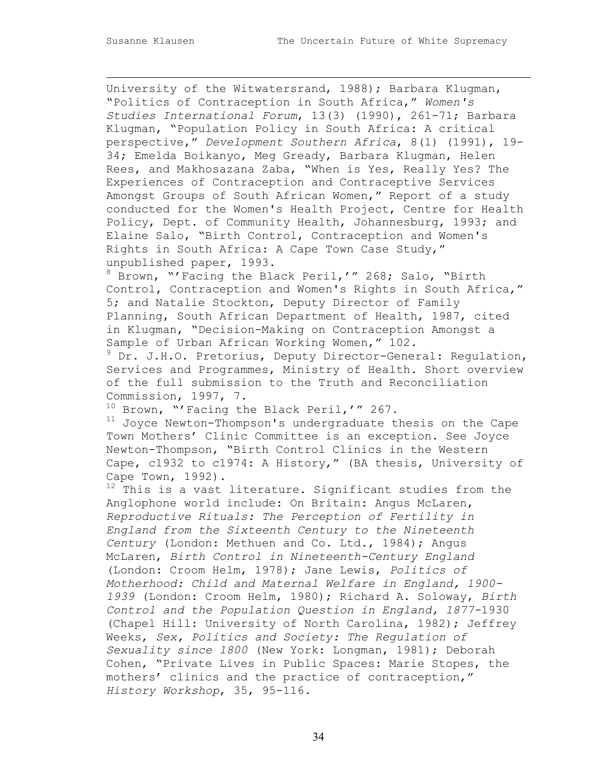University of the Witwatersrand, 1988); Barbara Klugman, "Politics of Contraception in South Africa," *Women's Studies International Forum*, 13(3) (1990), 261-71; Barbara Klugman, "Population Policy in South Africa: A critical perspective," *Development Southern Africa*, 8(1) (1991), 19- 34; Emelda Boikanyo, Meg Gready, Barbara Klugman, Helen Rees, and Makhosazana Zaba, "When is Yes, Really Yes? The Experiences of Contraception and Contraceptive Services Amongst Groups of South African Women," Report of a study conducted for the Women's Health Project, Centre for Health Policy, Dept. of Community Health, Johannesburg, 1993; and Elaine Salo, "Birth Control, Contraception and Women's Rights in South Africa: A Cape Town Case Study," unpublished paper, 1993.

8 Brown, "'Facing the Black Peril,'" 268; Salo, "Birth Control, Contraception and Women's Rights in South Africa," 5; and Natalie Stockton, Deputy Director of Family Planning, South African Department of Health, 1987, cited in Klugman, "Decision-Making on Contraception Amongst a Sample of Urban African Working Women," 102.

<sup>9</sup> Dr. J.H.O. Pretorius, Deputy Director-General: Regulation, Services and Programmes, Ministry of Health. Short overview of the full submission to the Truth and Reconciliation Commission, 1997, 7.

10 Brown, "'Facing the Black Peril,'" 267.

 $11$  Joyce Newton-Thompson's undergraduate thesis on the Cape Town Mothers' Clinic Committee is an exception. See Joyce Newton-Thompson, "Birth Control Clinics in the Western Cape, c1932 to c1974: A History," (BA thesis, University of Cape Town, 1992).

 $12$  This is a vast literature. Significant studies from the Anglophone world include: On Britain: Angus McLaren, *Reproductive Rituals: The Perception of Fertility in England from the Sixteenth Century to the Nineteenth Century* (London: Methuen and Co. Ltd., 1984); Angus McLaren, *Birth Control in Nineteenth-Century England* (London: Croom Helm, 1978); Jane Lewis, *Politics of Motherhood: Child and Maternal Welfare in England, 1900- 1939* (London: Croom Helm, 1980); Richard A. Soloway, *Birth Control and the Population Question in England, 1877-*1930 (Chapel Hill: University of North Carolina, 1982); Jeffrey Weeks, *Sex, Politics and Society: The Regulation of Sexuality since 1800* (New York: Longman, 1981); Deborah Cohen, "Private Lives in Public Spaces: Marie Stopes, the mothers' clinics and the practice of contraception," *History Workshop*, 35, 95-116.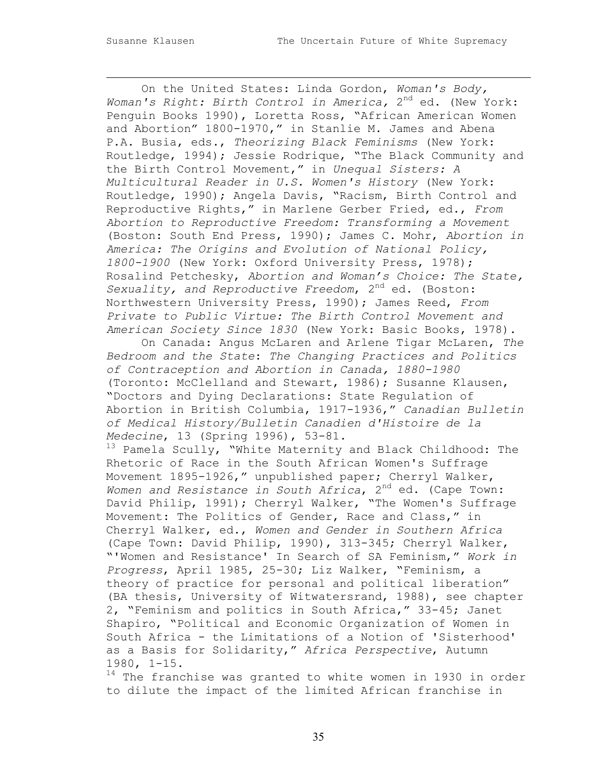On the United States: Linda Gordon, *Woman's Body,*  Woman's Right: Birth Control in America, 2<sup>nd</sup> ed. (New York: Penguin Books 1990), Loretta Ross, "African American Women and Abortion" 1800-1970," in Stanlie M. James and Abena P.A. Busia, eds., *Theorizing Black Feminisms* (New York: Routledge, 1994); Jessie Rodrique, "The Black Community and the Birth Control Movement," in *Unequal Sisters: A Multicultural Reader in U.S. Women's History* (New York: Routledge, 1990); Angela Davis, "Racism, Birth Control and Reproductive Rights," in Marlene Gerber Fried, ed., *From Abortion to Reproductive Freedom: Transforming a Movement*  (Boston: South End Press, 1990); James C. Mohr, *Abortion in America: The Origins and Evolution of National Policy, 1800-1900* (New York: Oxford University Press, 1978); Rosalind Petchesky, *Abortion and Woman's Choice: The State, Sexuality, and Reproductive Freedom*, 2nd ed. (Boston: Northwestern University Press, 1990); James Reed, *From Private to Public Virtue: The Birth Control Movement and American Society Since 1830* (New York: Basic Books, 1978).

On Canada: Angus McLaren and Arlene Tigar McLaren, *The Bedroom and the State*: *The Changing Practices and Politics of Contraception and Abortion in Canada, 1880-1980* (Toronto: McClelland and Stewart, 1986); Susanne Klausen, "Doctors and Dying Declarations: State Regulation of Abortion in British Columbia, 1917-1936," *Canadian Bulletin of Medical History/Bulletin Canadien d'Histoire de la Medecine*, 13 (Spring 1996), 53-81.

 $13$  Pamela Scully, "White Maternity and Black Childhood: The Rhetoric of Race in the South African Women's Suffrage Movement 1895-1926," unpublished paper; Cherryl Walker, Women and Resistance in South Africa, 2<sup>nd</sup> ed. (Cape Town: David Philip, 1991); Cherryl Walker, "The Women's Suffrage Movement: The Politics of Gender, Race and Class," in Cherryl Walker, ed., *Women and Gender in Southern Africa* (Cape Town: David Philip, 1990), 313-345; Cherryl Walker, "'Women and Resistance' In Search of SA Feminism," *Work in Progress*, April 1985, 25-30; Liz Walker, "Feminism, a theory of practice for personal and political liberation" (BA thesis, University of Witwatersrand, 1988), see chapter 2, "Feminism and politics in South Africa," 33-45; Janet Shapiro, "Political and Economic Organization of Women in South Africa - the Limitations of a Notion of 'Sisterhood' as a Basis for Solidarity," *Africa Perspective*, Autumn 1980, 1-15.

 $14$  The franchise was granted to white women in 1930 in order to dilute the impact of the limited African franchise in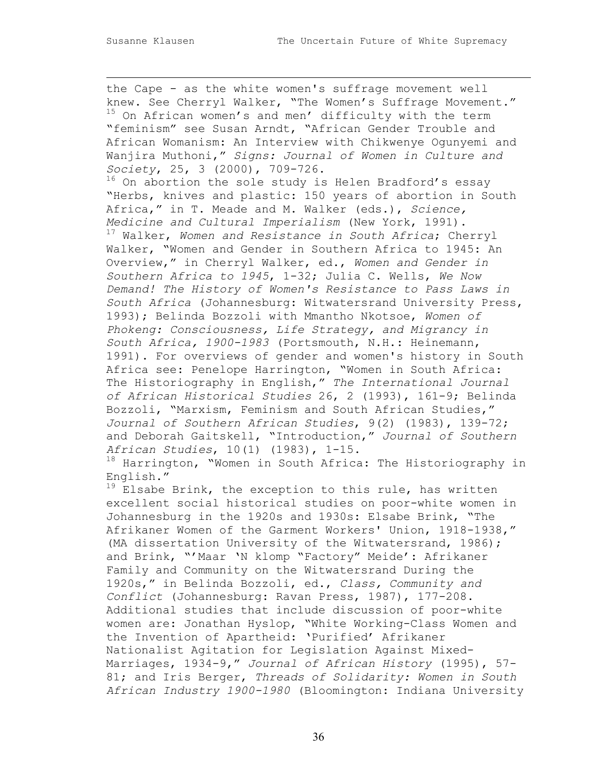the Cape - as the white women's suffrage movement well knew. See Cherryl Walker, "The Women's Suffrage Movement." <sup>15</sup> On African women's and men' difficulty with the term "feminism" see Susan Arndt, "African Gender Trouble and African Womanism: An Interview with Chikwenye Ogunyemi and Wanjira Muthoni," *Signs: Journal of Women in Culture and Society*, 25, 3 (2000), 709-726. <sup>16</sup> On abortion the sole study is Helen Bradford's essay "Herbs, knives and plastic: 150 years of abortion in South Africa," in T. Meade and M. Walker (eds.), *Science, Medicine and Cultural Imperialism* (New York, 1991). 17 Walker, *Women and Resistance in South Africa*; Cherryl Walker, "Women and Gender in Southern Africa to 1945: An Overview," in Cherryl Walker, ed., *Women and Gender in Southern Africa to 1945*, 1-32; Julia C. Wells, *We Now Demand! The History of Women's Resistance to Pass Laws in South Africa* (Johannesburg: Witwatersrand University Press, 1993); Belinda Bozzoli with Mmantho Nkotsoe, *Women of Phokeng: Consciousness, Life Strategy, and Migrancy in South Africa, 1900-1983* (Portsmouth, N.H.: Heinemann, 1991). For overviews of gender and women's history in South Africa see: Penelope Harrington, "Women in South Africa: The Historiography in English," *The International Journal of African Historical Studies* 26, 2 (1993), 161-9; Belinda Bozzoli, "Marxism, Feminism and South African Studies," *Journal of Southern African Studies*, 9(2) (1983), 139-72; and Deborah Gaitskell, "Introduction," *Journal of Southern African Studies*, 10(1) (1983), 1-15.

 $18$  Harrington, "Women in South Africa: The Historiography in English."

 $19$  Elsabe Brink, the exception to this rule, has written excellent social historical studies on poor-white women in Johannesburg in the 1920s and 1930s: Elsabe Brink, "The Afrikaner Women of the Garment Workers' Union, 1918-1938," (MA dissertation University of the Witwatersrand, 1986); and Brink, "'Maar 'N klomp "Factory" Meide': Afrikaner Family and Community on the Witwatersrand During the 1920s," in Belinda Bozzoli, ed., *Class, Community and Conflict* (Johannesburg: Ravan Press, 1987), 177-208. Additional studies that include discussion of poor-white women are: Jonathan Hyslop, "White Working-Class Women and the Invention of Apartheid: 'Purified' Afrikaner Nationalist Agitation for Legislation Against Mixed-Marriages, 1934-9," *Journal of African History* (1995), 57- 81; and Iris Berger, *Threads of Solidarity: Women in South African Industry 1900-1980* (Bloomington: Indiana University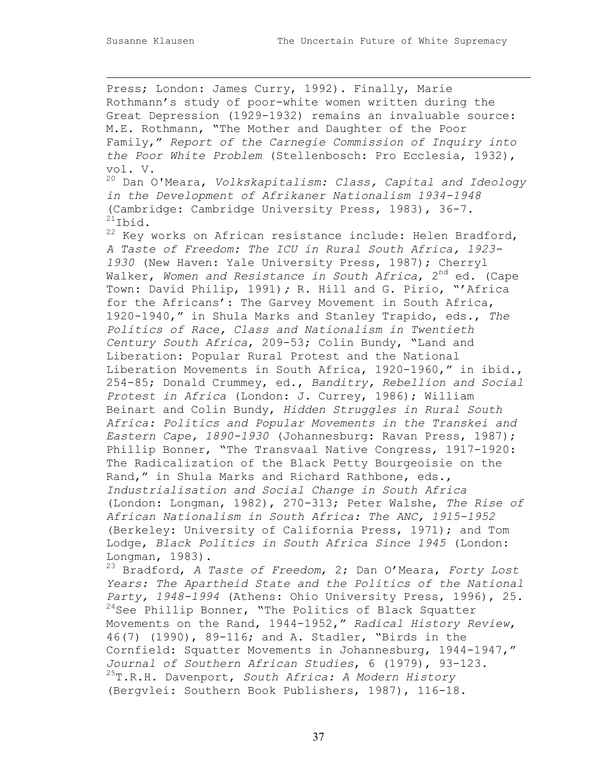Press; London: James Curry, 1992). Finally, Marie Rothmann's study of poor-white women written during the Great Depression (1929-1932) remains an invaluable source: M.E. Rothmann, "The Mother and Daughter of the Poor Family," *Report of the Carnegie Commission of Inquiry into the Poor White Problem* (Stellenbosch: Pro Ecclesia, 1932), vol. V. 20 Dan O'Meara, *Volkskapitalism: Class, Capital and Ideology in the Development of Afrikaner Nationalism 1934-1948* (Cambridge: Cambridge University Press, 1983), 36-7.  $^{21}$ Ibid.  $22$  Key works on African resistance include: Helen Bradford, *A Taste of Freedom: The ICU in Rural South Africa, 1923- 1930* (New Haven: Yale University Press, 1987); Cherryl Walker, Women and Resistance in South Africa, 2<sup>nd</sup> ed. (Cape Town: David Philip, 1991)*;* R. Hill and G. Pirio, "'Africa for the Africans': The Garvey Movement in South Africa, 1920-1940," in Shula Marks and Stanley Trapido, eds., *The Politics of Race, Class and Nationalism in Twentieth Century South Africa*, 209-53; Colin Bundy, "Land and Liberation: Popular Rural Protest and the National Liberation Movements in South Africa, 1920-1960," in ibid., 254-85; Donald Crummey, ed., *Banditry, Rebellion and Social Protest in Africa* (London: J. Currey, 1986); William Beinart and Colin Bundy, *Hidden Struggles in Rural South Africa: Politics and Popular Movements in the Transkei and Eastern Cape, 1890-1930* (Johannesburg: Ravan Press, 1987); Phillip Bonner, "The Transvaal Native Congress, 1917-1920: The Radicalization of the Black Petty Bourgeoisie on the Rand," in Shula Marks and Richard Rathbone, eds., *Industrialisation and Social Change in South Africa* (London: Longman, 1982), 270-313; Peter Walshe, *The Rise of African Nationalism in South Africa: The ANC, 1915-1952* (Berkeley: University of California Press, 1971); and Tom Lodge, *Black Politics in South Africa Since 1945* (London: Longman, 1983). 23 Bradford, *A Taste of Freedom*, 2; Dan O'Meara, *Forty Lost Years: The Apartheid State and the Politics of the National Party, 1948-1994* (Athens: Ohio University Press, 1996), 25. <sup>24</sup>See Phillip Bonner, "The Politics of Black Squatter Movements on the Rand, 1944-1952," *Radical History Review*, 46(7) (1990), 89-116; and A. Stadler, "Birds in the Cornfield: Squatter Movements in Johannesburg, 1944-1947," *Journal of Southern African Studies*, 6 (1979), 93-123. 25T.R.H. Davenport, *South Africa: A Modern History* (Bergvlei: Southern Book Publishers, 1987), 116-18.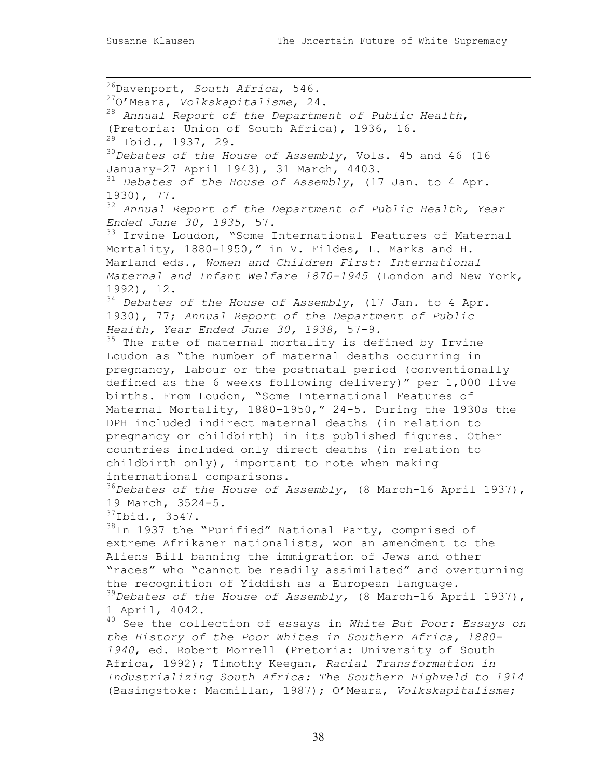$\overline{a}$ 26Davenport, *South Africa*, 546. 27O'Meara, *Volkskapitalisme*, 24. <sup>28</sup> *Annual Report of the Department of Public Health*, (Pretoria: Union of South Africa), 1936, 16. 29 Ibid., 1937, 29. <sup>30</sup>*Debates of the House of Assembly*, Vols. 45 and 46 (16 January-27 April 1943), 31 March, 4403. <sup>31</sup> *Debates of the House of Assembly*, (17 Jan. to 4 Apr. 1930), 77. <sup>32</sup> *Annual Report of the Department of Public Health, Year Ended June 30, 1935*, 57. <sup>33</sup> Irvine Loudon, "Some International Features of Maternal Mortality, 1880-1950," in V. Fildes, L. Marks and H. Marland eds., *Women and Children First: International Maternal and Infant Welfare 1870-1945* (London and New York, 1992), 12. <sup>34</sup> *Debates of the House of Assembly*, (17 Jan. to 4 Apr. 1930), 77; *Annual Report of the Department of Public Health, Year Ended June 30, 1938*, 57-9.  $35$  The rate of maternal mortality is defined by Irvine Loudon as "the number of maternal deaths occurring in pregnancy, labour or the postnatal period (conventionally defined as the 6 weeks following delivery)" per 1,000 live births. From Loudon, "Some International Features of Maternal Mortality, 1880-1950," 24-5. During the 1930s the DPH included indirect maternal deaths (in relation to pregnancy or childbirth) in its published figures. Other countries included only direct deaths (in relation to childbirth only), important to note when making international comparisons. <sup>36</sup>*Debates of the House of Assembly*, (8 March-16 April 1937), 19 March, 3524-5. 37Ibid., 3547. 38In 1937 the "Purified" National Party, comprised of extreme Afrikaner nationalists, won an amendment to the Aliens Bill banning the immigration of Jews and other "races" who "cannot be readily assimilated" and overturning the recognition of Yiddish as a European language. <sup>39</sup>*Debates of the House of Assembly,* (8 March-16 April 1937), 1 April, 4042. 40 See the collection of essays in *White But Poor: Essays on the History of the Poor Whites in Southern Africa, 1880- 1940*, ed. Robert Morrell (Pretoria: University of South Africa, 1992); Timothy Keegan, *Racial Transformation in Industrializing South Africa: The Southern Highveld to 1914* (Basingstoke: Macmillan, 1987); O'Meara, *Volkskapitalisme*;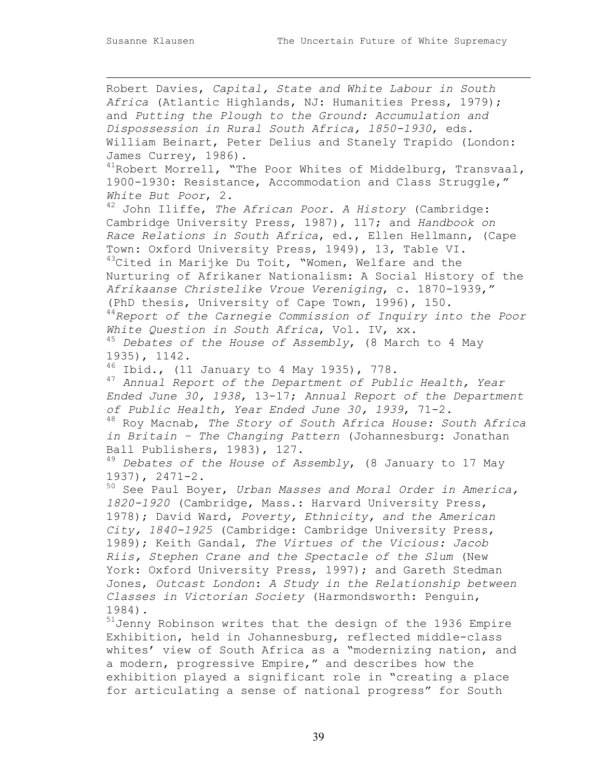Robert Davies, *Capital, State and White Labour in South Africa* (Atlantic Highlands, NJ: Humanities Press, 1979); and *Putting the Plough to the Ground: Accumulation and Dispossession in Rural South Africa, 1850-1930*, eds. William Beinart, Peter Delius and Stanely Trapido (London: James Currey, 1986).  $^{41}$ Robert Morrell, "The Poor Whites of Middelburg, Transvaal, 1900-1930: Resistance, Accommodation and Class Struggle," *White But Poor*, 2. 42 John Iliffe, *The African Poor. A History* (Cambridge: Cambridge University Press, 1987), 117; and *Handbook on Race Relations in South Africa*, ed., Ellen Hellmann, (Cape Town: Oxford University Press, 1949), 13, Table VI.  $43$ Cited in Marijke Du Toit, "Women, Welfare and the Nurturing of Afrikaner Nationalism: A Social History of the *Afrikaanse Christelike Vroue Vereniging*, c. 1870-1939," (PhD thesis, University of Cape Town, 1996), 150. <sup>44</sup>*Report of the Carnegie Commission of Inquiry into the Poor White Question in South Africa*, Vol. IV, xx. <sup>45</sup> *Debates of the House of Assembly*, (8 March to 4 May 1935), 1142. 46 Ibid*.*, (11 January to 4 May 1935), 778. <sup>47</sup> *Annual Report of the Department of Public Health, Year Ended June 30, 1938*, 13-17; *Annual Report of the Department of Public Health, Year Ended June 30, 1939*, 71-2. 48 Roy Macnab, *The Story of South Africa House: South Africa in Britain – The Changing Pattern* (Johannesburg: Jonathan Ball Publishers, 1983), 127. <sup>49</sup> *Debates of the House of Assembly*, (8 January to 17 May 1937), 2471-2. 50 See Paul Boyer, *Urban Masses and Moral Order in America, 1820-1920* (Cambridge, Mass.: Harvard University Press, 1978); David Ward, *Poverty, Ethnicity, and the American City, 1840-1925* (Cambridge: Cambridge University Press, 1989); Keith Gandal, *The Virtues of the Vicious: Jacob Riis, Stephen Crane and the Spectacle of the Slum* (New York: Oxford University Press, 1997); and Gareth Stedman Jones, *Outcast London*: *A Study in the Relationship between Classes in Victorian Society* (Harmondsworth: Penguin, 1984). 51Jenny Robinson writes that the design of the 1936 Empire Exhibition, held in Johannesburg, reflected middle-class whites' view of South Africa as a "modernizing nation, and

a modern, progressive Empire," and describes how the exhibition played a significant role in "creating a place for articulating a sense of national progress" for South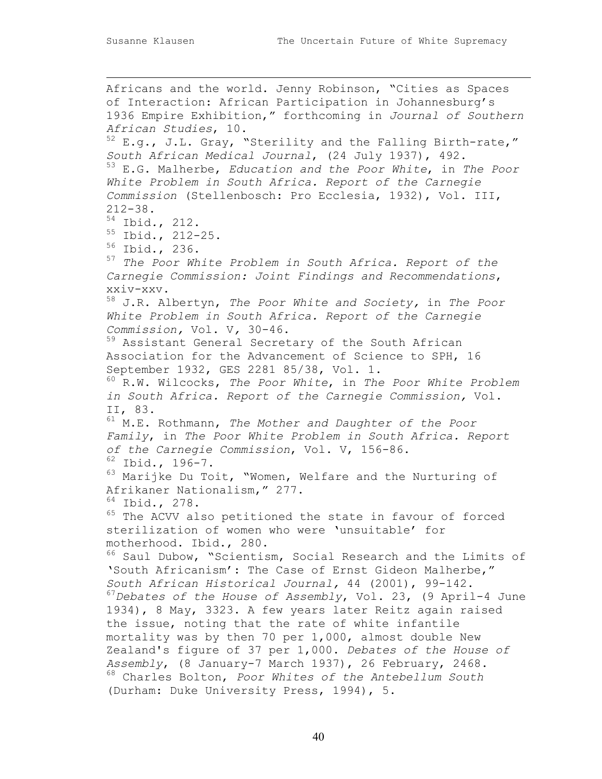Africans and the world. Jenny Robinson, "Cities as Spaces of Interaction: African Participation in Johannesburg's 1936 Empire Exhibition," forthcoming in *Journal of Southern African Studies*, 10.  $52$  E.g., J.L. Gray, "Sterility and the Falling Birth-rate," *South African Medical Journal*, (24 July 1937), 492. 53 E.G. Malherbe, *Education and the Poor White*, in *The Poor White Problem in South Africa. Report of the Carnegie Commission* (Stellenbosch: Pro Ecclesia, 1932), Vol. III, 212-38. 54 Ibid*.*, 212. 55 Ibid., 212-25. 56 Ibid., 236. <sup>57</sup> *The Poor White Problem in South Africa. Report of the Carnegie Commission: Joint Findings and Recommendations*, xxiv-xxv. 58 J.R. Albertyn, *The Poor White and Society,* in *The Poor White Problem in South Africa. Report of the Carnegie Commission,* Vol. V*,* 30-46. 59 Assistant General Secretary of the South African Association for the Advancement of Science to SPH, 16 September 1932, GES 2281 85/38, Vol. 1. 60 R.W. Wilcocks, *The Poor White*, in *The Poor White Problem in South Africa. Report of the Carnegie Commission,* Vol. II, 83. 61 M.E. Rothmann, *The Mother and Daughter of the Poor Family*, in *The Poor White Problem in South Africa. Report of the Carnegie Commission*, Vol. V, 156-86. 62 Ibid., 196-7. <sup>63</sup> Marijke Du Toit, "Women, Welfare and the Nurturing of Afrikaner Nationalism," 277. 64 Ibid., 278. <sup>65</sup> The ACVV also petitioned the state in favour of forced sterilization of women who were 'unsuitable' for motherhood. Ibid., 280. <sup>66</sup> Saul Dubow, "Scientism, Social Research and the Limits of 'South Africanism': The Case of Ernst Gideon Malherbe," *South African Historical Journal,* 44 (2001), 99-142. <sup>67</sup>*Debates of the House of Assembly*, Vol. 23, (9 April-4 June 1934), 8 May, 3323. A few years later Reitz again raised the issue, noting that the rate of white infantile mortality was by then 70 per 1,000, almost double New Zealand's figure of 37 per 1,000. *Debates of the House of Assembly*, (8 January-7 March 1937), 26 February, 2468. 68 Charles Bolton, *Poor Whites of the Antebellum South* (Durham: Duke University Press, 1994), 5.